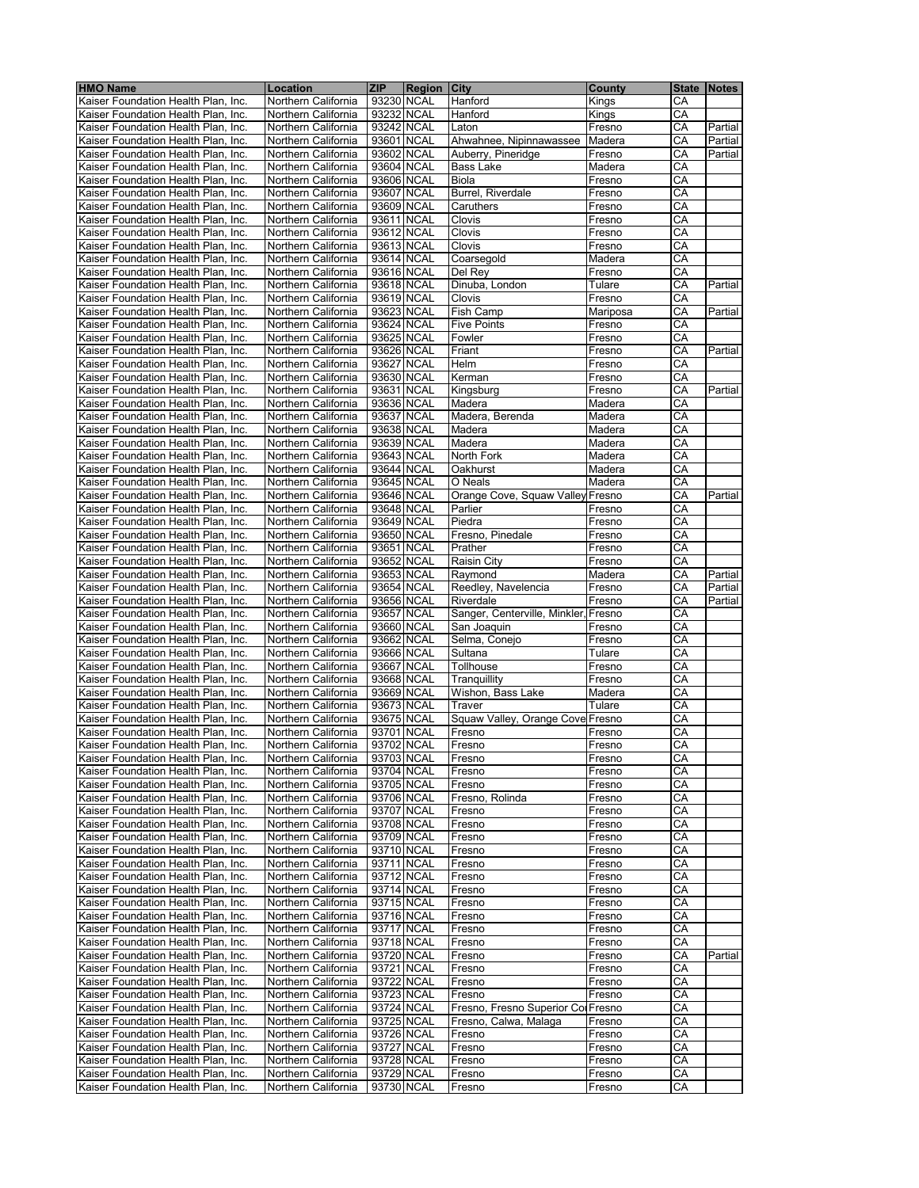| <b>HMO Name</b>                     | Location            | <b>ZIP</b> | <b>Region City</b> |                                      | County   |    | State   Notes |
|-------------------------------------|---------------------|------------|--------------------|--------------------------------------|----------|----|---------------|
| Kaiser Foundation Health Plan, Inc. | Northern California | 93230 NCAL |                    | Hanford                              | Kings    | СA |               |
| Kaiser Foundation Health Plan, Inc. | Northern California | 93232 NCAL |                    | Hanford                              | Kings    | CА |               |
| Kaiser Foundation Health Plan, Inc. | Northern California |            | 93242 NCAL         | Laton                                | Fresno   | CА | Partial       |
| Kaiser Foundation Health Plan, Inc. | Northern California |            | 93601 NCAL         | Ahwahnee, Nipinnawassee              | Madera   | CА | Partial       |
| Kaiser Foundation Health Plan, Inc. | Northern California |            | 93602 NCAL         | Auberry, Pineridge                   | Fresno   | СA | Partial       |
| Kaiser Foundation Health Plan, Inc. | Northern California |            | 93604 NCAL         | Bass Lake                            | Madera   | СA |               |
| Kaiser Foundation Health Plan, Inc. | Northern California |            | 93606 NCAL         | Biola                                | Fresno   | CA |               |
| Kaiser Foundation Health Plan, Inc. | Northern California | 93607 NCAL |                    | Burrel, Riverdale                    | Fresno   | CA |               |
|                                     |                     |            |                    |                                      |          |    |               |
| Kaiser Foundation Health Plan, Inc. | Northern California | 93609 NCAL |                    | Caruthers                            | Fresno   | CA |               |
| Kaiser Foundation Health Plan, Inc. | Northern California | 93611 NCAL |                    | Clovis                               | Fresno   | СA |               |
| Kaiser Foundation Health Plan, Inc. | Northern California |            | 93612 NCAL         | Clovis                               | Fresno   | CA |               |
| Kaiser Foundation Health Plan, Inc. | Northern California | 93613 NCAL |                    | Clovis                               | Fresno   | CA |               |
| Kaiser Foundation Health Plan, Inc. | Northern California | 93614 NCAL |                    | Coarsegold                           | Madera   | СA |               |
| Kaiser Foundation Health Plan, Inc. | Northern California | 93616 NCAL |                    | Del Rev                              | Fresno   | CA |               |
| Kaiser Foundation Health Plan, Inc. | Northern California | 93618 NCAL |                    | Dinuba, London                       | Tulare   | СA | Partial       |
| Kaiser Foundation Health Plan, Inc. | Northern California | 93619 NCAL |                    | Clovis                               | Fresno   | СA |               |
| Kaiser Foundation Health Plan, Inc. | Northern California | 93623 NCAL |                    | Fish Camp                            | Mariposa | CА | Partial       |
| Kaiser Foundation Health Plan, Inc. | Northern California |            | 93624 NCAL         | <b>Five Points</b>                   | Fresno   | СA |               |
| Kaiser Foundation Health Plan, Inc. | Northern California | 93625 NCAL |                    | Fowler                               | Fresno   | CA |               |
| Kaiser Foundation Health Plan, Inc. | Northern California | 93626 NCAL |                    | Friant                               | Fresno   | CA | Partial       |
| Kaiser Foundation Health Plan, Inc. | Northern California | 93627 NCAL |                    | Helm                                 | Fresno   | CA |               |
| Kaiser Foundation Health Plan, Inc. | Northern California |            | 93630 NCAL         | Kerman                               | Fresno   | СA |               |
| Kaiser Foundation Health Plan, Inc. | Northern California | 93631 NCAL |                    | Kingsburg                            | Fresno   | CА | Partial       |
| Kaiser Foundation Health Plan, Inc. | Northern California |            | 93636 NCAL         | Madera                               | Madera   | СA |               |
| Kaiser Foundation Health Plan, Inc. | Northern California | 93637 NCAL |                    | Madera, Berenda                      | Madera   | CA |               |
| Kaiser Foundation Health Plan, Inc. | Northern California | 93638 NCAL |                    | Madera                               | Madera   | СA |               |
| Kaiser Foundation Health Plan, Inc. | Northern California | 93639 NCAL |                    | Madera                               | Madera   | CA |               |
| Kaiser Foundation Health Plan, Inc. | Northern California | 93643 NCAL |                    | North Fork                           | Madera   | CА |               |
| Kaiser Foundation Health Plan, Inc. | Northern California |            | 93644 NCAL         | Oakhurst                             | Madera   | СA |               |
| Kaiser Foundation Health Plan, Inc. | Northern California |            | 93645 NCAL         | O Neals                              | Madera   | СA |               |
| Kaiser Foundation Health Plan, Inc. | Northern California |            | 93646 NCAL         | Orange Cove, Squaw Valley            | Fresno   | СA | Partial       |
| Kaiser Foundation Health Plan. Inc. | Northern California | 93648 NCAL |                    | Parlier                              | Fresno   | CA |               |
| Kaiser Foundation Health Plan, Inc. | Northern California | 93649 NCAL |                    | Piedra                               | Fresno   | СA |               |
| Kaiser Foundation Health Plan, Inc. | Northern California | 93650 NCAL |                    | Fresno, Pinedale                     | Fresno   | CA |               |
| Kaiser Foundation Health Plan, Inc. | Northern California |            | 93651 NCAL         | Prather                              | Fresno   | СA |               |
| Kaiser Foundation Health Plan, Inc. | Northern California |            | 93652 NCAL         | <b>Raisin City</b>                   | Fresno   | CA |               |
|                                     |                     |            |                    |                                      |          |    | Partial       |
| Kaiser Foundation Health Plan, Inc. | Northern California |            | 93653 NCAL         | Raymond                              | Madera   | СA |               |
| Kaiser Foundation Health Plan, Inc. | Northern California | 93654 NCAL |                    | Reedley, Navelencia                  | Fresno   | СA | Partial       |
| Kaiser Foundation Health Plan, Inc. | Northern California | 93656 NCAL |                    | Riverdale                            | Fresno   | СA | Partial       |
| Kaiser Foundation Health Plan, Inc. | Northern California | 93657 NCAL |                    | Sanger, Centerville, Minkler, Fresno |          | CA |               |
| Kaiser Foundation Health Plan, Inc. | Northern California | 93660 NCAL |                    | San Joaquin                          | Fresno   | СA |               |
| Kaiser Foundation Health Plan, Inc. | Northern California | 93662 NCAL |                    | Selma, Conejo                        | Fresno   | CA |               |
| Kaiser Foundation Health Plan, Inc. | Northern California |            | 93666 NCAL         | Sultana                              | Tulare   | СA |               |
| Kaiser Foundation Health Plan. Inc. | Northern California |            | 93667 NCAL         | Tollhouse                            | Fresno   | CA |               |
| Kaiser Foundation Health Plan, Inc. | Northern California | 93668 NCAL |                    | Tranquillity                         | Fresno   | CA |               |
| Kaiser Foundation Health Plan, Inc. | Northern California | 93669 NCAL |                    | Wishon, Bass Lake                    | Madera   | CA |               |
| Kaiser Foundation Health Plan, Inc. | Northern California | 93673 NCAL |                    | Traver                               | Tulare   | СA |               |
| Kaiser Foundation Health Plan, Inc. | Northern California |            | 93675 NCAL         | Squaw Valley, Orange Cove Fresno     |          | СA |               |
| Kaiser Foundation Health Plan, Inc. | Northern California | 93701 NCAL |                    | Fresno                               | Fresno   | CA |               |
| Kaiser Foundation Health Plan, Inc. | Northern California | 93702 NCAL |                    | Fresno                               | Fresno   | CA |               |
| Kaiser Foundation Health Plan, Inc. | Northern California |            | 93703 NCAL         | Fresno                               | Fresno   | CА |               |
| Kaiser Foundation Health Plan, Inc. | Northern California | 93704 NCAL |                    | Fresno                               | Fresno   | CА |               |
| Kaiser Foundation Health Plan, Inc. | Northern California | 93705 NCAL |                    | Fresno                               | Fresno   | CА |               |
| Kaiser Foundation Health Plan, Inc. | Northern California | 93706 NCAL |                    | Fresno, Rolinda                      | Fresno   | CА |               |
| Kaiser Foundation Health Plan, Inc. | Northern California |            | 93707 NCAL         | Fresno                               | Fresno   | СA |               |
| Kaiser Foundation Health Plan, Inc. | Northern California |            | 93708 NCAL         | Fresno                               | Fresno   | CА |               |
| Kaiser Foundation Health Plan, Inc. | Northern California |            | 93709 NCAL         | Fresno                               | Fresno   | СA |               |
| Kaiser Foundation Health Plan, Inc. | Northern California | 93710 NCAL |                    | Fresno                               | Fresno   | CА |               |
| Kaiser Foundation Health Plan, Inc. | Northern California | 93711 NCAL |                    | Fresno                               | Fresno   | СA |               |
| Kaiser Foundation Health Plan, Inc. | Northern California | 93712 NCAL |                    | Fresno                               | Fresno   | СA |               |
| Kaiser Foundation Health Plan, Inc. | Northern California |            | 93714 NCAL         | Fresno                               | Fresno   | CА |               |
| Kaiser Foundation Health Plan, Inc. | Northern California | 93715 NCAL |                    | Fresno                               | Fresno   | CA |               |
| Kaiser Foundation Health Plan, Inc. | Northern California | 93716 NCAL |                    | Fresno                               | Fresno   | СA |               |
| Kaiser Foundation Health Plan, Inc. | Northern California | 93717 NCAL |                    | Fresno                               | Fresno   | CA |               |
| Kaiser Foundation Health Plan, Inc. | Northern California | 93718 NCAL |                    | Fresno                               | Fresno   | CА |               |
| Kaiser Foundation Health Plan, Inc. | Northern California | 93720 NCAL |                    | Fresno                               | Fresno   | СA | Partial       |
| Kaiser Foundation Health Plan, Inc. | Northern California | 93721 NCAL |                    | Fresno                               | Fresno   | CА |               |
| Kaiser Foundation Health Plan, Inc. | Northern California |            | 93722 NCAL         | Fresno                               | Fresno   | СA |               |
| Kaiser Foundation Health Plan, Inc. | Northern California | 93723 NCAL |                    | Fresno                               | Fresno   | CA |               |
| Kaiser Foundation Health Plan, Inc. | Northern California | 93724 NCAL |                    | Fresno, Fresno Superior Col Fresno   |          | CA |               |
| Kaiser Foundation Health Plan, Inc. | Northern California | 93725 NCAL |                    | Fresno, Calwa, Malaga                | Fresno   | CA |               |
| Kaiser Foundation Health Plan, Inc. | Northern California | 93726 NCAL |                    | Fresno                               | Fresno   | CА |               |
| Kaiser Foundation Health Plan, Inc. | Northern California | 93727 NCAL |                    | Fresno                               | Fresno   | СA |               |
| Kaiser Foundation Health Plan, Inc. | Northern California | 93728 NCAL |                    | Fresno                               | Fresno   | CА |               |
| Kaiser Foundation Health Plan, Inc. | Northern California | 93729 NCAL |                    | Fresno                               | Fresno   | CА |               |
| Kaiser Foundation Health Plan, Inc. | Northern California | 93730 NCAL |                    | Fresno                               | Fresno   | CА |               |
|                                     |                     |            |                    |                                      |          |    |               |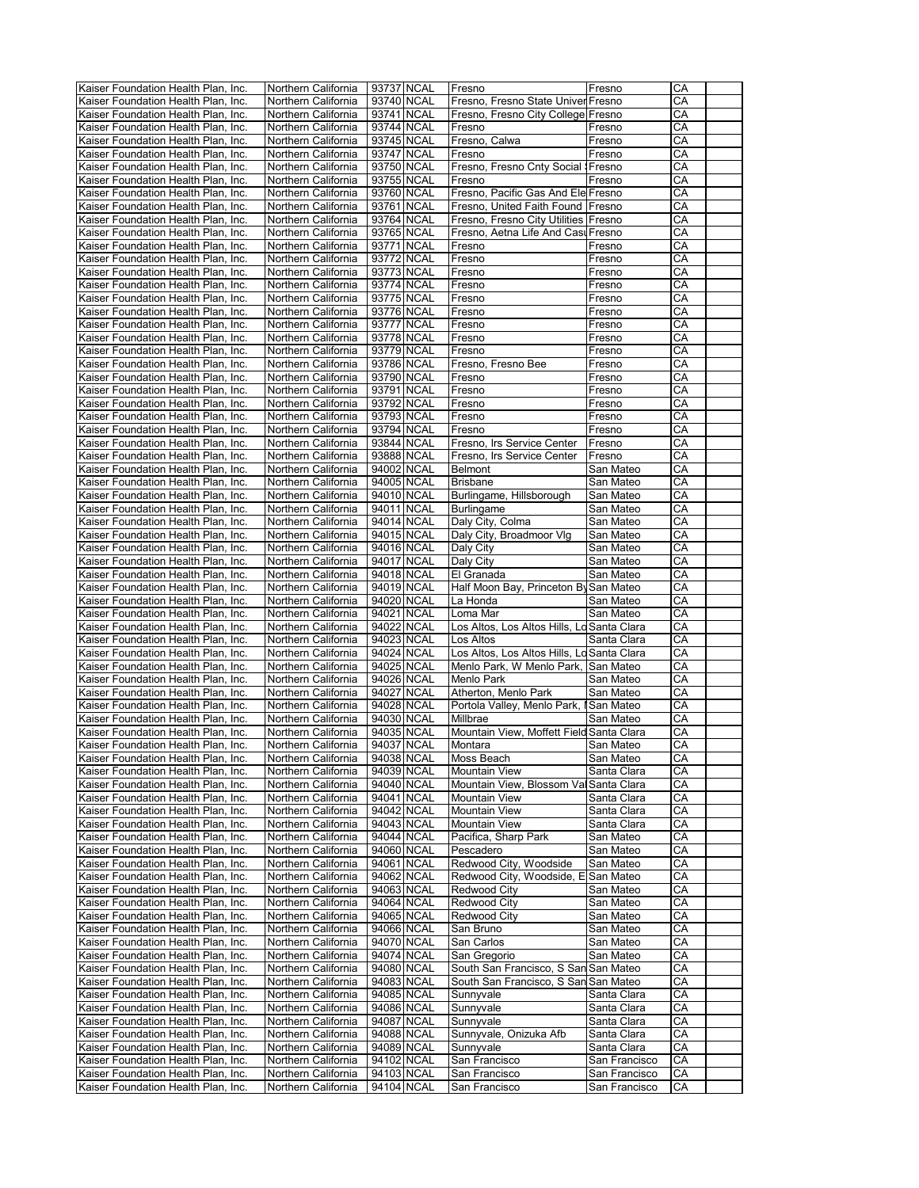| Kaiser Foundation Health Plan, Inc.                                        | Northern California                        | 93737 NCAL               | Fresno                                     | Fresno                         | CA       |  |
|----------------------------------------------------------------------------|--------------------------------------------|--------------------------|--------------------------------------------|--------------------------------|----------|--|
| Kaiser Foundation Health Plan, Inc.                                        | Northern California                        | 93740 NCAL               | Fresno, Fresno State Univer Fresno         |                                | СA       |  |
| Kaiser Foundation Health Plan, Inc.                                        | Northern California                        | 93741 NCAL               | Fresno, Fresno City College Fresno         |                                | СA       |  |
| Kaiser Foundation Health Plan, Inc.                                        | Northern California                        | 93744 NCAL               | Fresno                                     | Fresno                         | CA       |  |
| Kaiser Foundation Health Plan, Inc.                                        | Northern California                        | 93745 NCAL               | Fresno, Calwa                              | Fresno                         | CA       |  |
|                                                                            |                                            |                          |                                            |                                |          |  |
| Kaiser Foundation Health Plan, Inc.                                        | Northern California                        | 93747 NCAL               | Fresno                                     | Fresno                         | СA       |  |
| Kaiser Foundation Health Plan, Inc.                                        | Northern California                        | 93750 NCAL               | Fresno, Fresno Cnty Social   Fresno        |                                | CA       |  |
| Kaiser Foundation Health Plan, Inc.                                        | Northern California                        | 93755 NCAL               | Fresno                                     | Fresno                         | СA       |  |
| Kaiser Foundation Health Plan, Inc.                                        | Northern California                        | 93760 NCAL               | Fresno, Pacific Gas And Ele Fresno         |                                | СA       |  |
| Kaiser Foundation Health Plan, Inc.                                        | Northern California                        | 93761 NCAL               | Fresno, United Faith Found   Fresno        |                                | СA       |  |
| Kaiser Foundation Health Plan, Inc.                                        | Northern California                        | 93764 NCAL               | Fresno, Fresno City Utilities Fresno       |                                | CA       |  |
| Kaiser Foundation Health Plan, Inc.                                        | Northern California                        | 93765 NCAL               | Fresno, Aetna Life And Cast Fresno         |                                | СA       |  |
|                                                                            |                                            |                          |                                            |                                |          |  |
| Kaiser Foundation Health Plan, Inc.                                        | Northern California                        | 93771 NCAL               | Fresno                                     | Fresno                         | СA       |  |
| Kaiser Foundation Health Plan, Inc.                                        | Northern California                        | 93772 NCAL               | Fresno                                     | Fresno                         | СA       |  |
| Kaiser Foundation Health Plan, Inc.                                        | Northern California                        | 93773 NCAL               | Fresno                                     | Fresno                         | CA       |  |
| Kaiser Foundation Health Plan, Inc.                                        | Northern California                        | 93774 NCAL               | Fresno                                     | Fresno                         | CA       |  |
| Kaiser Foundation Health Plan, Inc.                                        | Northern California                        | 93775 NCAL               | Fresno                                     | Fresno                         | CA       |  |
| Kaiser Foundation Health Plan, Inc.                                        | Northern California                        | 93776 NCAL               | Fresno                                     | Fresno                         | CA       |  |
| Kaiser Foundation Health Plan, Inc.                                        | Northern California                        | 93777 NCAL               | Fresno                                     | Fresno                         | СA       |  |
| Kaiser Foundation Health Plan, Inc.                                        |                                            | 93778 NCAL               |                                            |                                | CA       |  |
|                                                                            | Northern California                        |                          | Fresno                                     | Fresno                         |          |  |
| Kaiser Foundation Health Plan, Inc.                                        | Northern California                        | 93779 NCAL               | Fresno                                     | Fresno                         | СA       |  |
| Kaiser Foundation Health Plan, Inc.                                        | Northern California                        | 93786 NCAL               | Fresno, Fresno Bee                         | Fresno                         | CA       |  |
| Kaiser Foundation Health Plan, Inc.                                        | Northern California                        | 93790 NCAL               | Fresno                                     | Fresno                         | СA       |  |
| Kaiser Foundation Health Plan, Inc.                                        | Northern California                        | 93791 NCAL               | Fresno                                     | Fresno                         | CA       |  |
| Kaiser Foundation Health Plan, Inc.                                        | Northern California                        | 93792 NCAL               | Fresno                                     | Fresno                         | СA       |  |
| Kaiser Foundation Health Plan, Inc.                                        | Northern California                        | 93793 NCAL               | Fresno                                     | Fresno                         | CA       |  |
| Kaiser Foundation Health Plan, Inc.                                        | Northern California                        | 93794 NCAL               | Fresno                                     | Fresno                         | СA       |  |
|                                                                            |                                            |                          |                                            |                                |          |  |
| Kaiser Foundation Health Plan, Inc.                                        | Northern California                        | 93844 NCAL               | Fresno, Irs Service Center                 | Fresno                         | CA       |  |
| Kaiser Foundation Health Plan, Inc.                                        | Northern California                        | 93888 NCAL               | Fresno, Irs Service Center                 | Fresno                         | CA       |  |
| Kaiser Foundation Health Plan, Inc.                                        | Northern California                        | 94002 NCAL               | <b>Belmont</b>                             | San Mateo                      | CA       |  |
| Kaiser Foundation Health Plan, Inc.                                        | Northern California                        | 94005 NCAL               | <b>Brisbane</b>                            | San Mateo                      | СA       |  |
| Kaiser Foundation Health Plan. Inc.                                        | Northern California                        | 94010 NCAL               | Burlingame, Hillsborough                   | San Mateo                      | CA       |  |
| Kaiser Foundation Health Plan, Inc.                                        | Northern California                        | 94011 NCAL               | <b>Burlingame</b>                          | San Mateo                      | CA       |  |
| Kaiser Foundation Health Plan, Inc.                                        | Northern California                        | 94014 NCAL               | Daly City, Colma                           | San Mateo                      | СA       |  |
|                                                                            |                                            |                          |                                            |                                |          |  |
| Kaiser Foundation Health Plan, Inc.                                        | Northern California                        | 94015 NCAL               | Daly City, Broadmoor Vlg                   | San Mateo                      | CA       |  |
| Kaiser Foundation Health Plan, Inc.                                        | Northern California                        | 94016 NCAL               | Daly City                                  | San Mateo                      | СA       |  |
| Kaiser Foundation Health Plan, Inc.                                        | Northern California                        | 94017 NCAL               | Daly City                                  | San Mateo                      | CА       |  |
| Kaiser Foundation Health Plan, Inc.                                        | Northern California                        | 94018 NCAL               | El Granada                                 | San Mateo                      | CА       |  |
| Kaiser Foundation Health Plan, Inc.                                        | Northern California                        | 94019 NCAL               | Half Moon Bay, Princeton By San Mateo      |                                | CA       |  |
| Kaiser Foundation Health Plan, Inc.                                        | Northern California                        | 94020 NCAL               | La Honda                                   | San Mateo                      | СA       |  |
| Kaiser Foundation Health Plan, Inc.                                        | Northern California                        | 94021 NCAL               | Loma Mar                                   | San Mateo                      | CA       |  |
|                                                                            |                                            |                          |                                            |                                | CA       |  |
| Kaiser Foundation Health Plan, Inc.                                        | Northern California                        | 94022 NCAL               | Los Altos, Los Altos Hills, Lo Santa Clara |                                |          |  |
| Kaiser Foundation Health Plan, Inc.                                        | Northern California                        | 94023 NCAL               | Los Altos                                  | Santa Clara                    | CA       |  |
| Kaiser Foundation Health Plan, Inc.                                        | Northern California                        | 94024 NCAL               | Los Altos, Los Altos Hills, Lo Santa Clara |                                | СA       |  |
| Kaiser Foundation Health Plan, Inc.                                        | Northern California                        | 94025 NCAL               | Menlo Park, W Menlo Park, San Mateo        |                                | CA       |  |
| Kaiser Foundation Health Plan, Inc.                                        | Northern California                        | 94026 NCAL               | Menlo Park                                 | San Mateo                      | СA       |  |
| Kaiser Foundation Health Plan, Inc.                                        | Northern California                        | 94027 NCAL               | Atherton, Menlo Park                       | San Mateo                      | СA       |  |
| Kaiser Foundation Health Plan, Inc.                                        | Northern California                        | 94028 NCAL               | Portola Valley, Menlo Park,                | <b>I</b> San Mateo             | CA       |  |
|                                                                            |                                            | 94030 NCAL               | Millbrae                                   | San Mateo                      | CA       |  |
| Kaiser Foundation Health Plan, Inc.                                        | Northern California                        |                          |                                            |                                |          |  |
| Kaiser Foundation Health Plan, Inc.                                        | Northern California                        | 94035 NCAL               | Mountain View, Moffett Field Santa Clara   |                                | СA       |  |
| Kaiser Foundation Health Plan, Inc.                                        | Northern California                        | 94037 NCAL               | Montara                                    | San Mateo                      | CA       |  |
| Kaiser Foundation Health Plan, Inc.                                        | Northern California                        | 94038 NCAL               | Moss Beach                                 | San Mateo                      | СA       |  |
| Kaiser Foundation Health Plan, Inc.                                        | Northern California                        | 94039 NCAL               | <b>Mountain View</b>                       | Santa Clara                    | CA       |  |
| Kaiser Foundation Health Plan, Inc.                                        | Northern California                        | 94040 NCAL               | Mountain View, Blossom Val Santa Clara     |                                | CA       |  |
| Kaiser Foundation Health Plan, Inc.                                        | Northern California                        | 94041 NCAL               | <b>Mountain View</b>                       | Santa Clara                    | CA       |  |
| Kaiser Foundation Health Plan, Inc.                                        | Northern California                        | 94042 NCAL               | <b>Mountain View</b>                       | Santa Clara                    | СA       |  |
| Kaiser Foundation Health Plan, Inc.                                        | Northern California                        | 94043 NCAL               | <b>Mountain View</b>                       | Santa Clara                    | CA       |  |
|                                                                            |                                            |                          |                                            |                                |          |  |
| Kaiser Foundation Health Plan, Inc.                                        | Northern California                        | 94044 NCAL               | Pacifica, Sharp Park                       | San Mateo                      | СA       |  |
| Kaiser Foundation Health Plan, Inc.                                        | Northern California                        | 94060 NCAL               | Pescadero                                  | San Mateo                      | СA       |  |
| Kaiser Foundation Health Plan, Inc.                                        | Northern California                        | 94061 NCAL               | Redwood City, Woodside                     | San Mateo                      | СA       |  |
| Kaiser Foundation Health Plan, Inc.                                        | Northern California                        | 94062 NCAL               | Redwood City, Woodside, E                  | San Mateo                      | CA       |  |
| Kaiser Foundation Health Plan, Inc.                                        | Northern California                        | 94063 NCAL               | Redwood City                               | San Mateo                      | СA       |  |
| Kaiser Foundation Health Plan, Inc.                                        | Northern California                        | 94064 NCAL               | Redwood City                               | San Mateo                      | СA       |  |
| Kaiser Foundation Health Plan, Inc.                                        | Northern California                        | 94065 NCAL               | Redwood City                               | San Mateo                      | СA       |  |
| Kaiser Foundation Health Plan, Inc.                                        | Northern California                        | 94066 NCAL               | San Bruno                                  | San Mateo                      | СA       |  |
|                                                                            |                                            |                          |                                            |                                |          |  |
| Kaiser Foundation Health Plan, Inc.                                        | Northern California                        | 94070 NCAL               | San Carlos                                 | San Mateo                      | CA       |  |
| Kaiser Foundation Health Plan, Inc.                                        | Northern California                        | 94074 NCAL               | San Gregorio                               | San Mateo                      | CА       |  |
| Kaiser Foundation Health Plan, Inc.                                        | Northern California                        | 94080 NCAL               | South San Francisco, S San San Mateo       |                                | CА       |  |
| Kaiser Foundation Health Plan, Inc.                                        | Northern California                        | 94083 NCAL               | South San Francisco, S San San Mateo       |                                | CА       |  |
| Kaiser Foundation Health Plan, Inc.                                        | Northern California                        | 94085 NCAL               | Sunnyvale                                  | Santa Clara                    | СA       |  |
| Kaiser Foundation Health Plan, Inc.                                        | Northern California                        | 94086 NCAL               | Sunnyvale                                  | Santa Clara                    | CА       |  |
| Kaiser Foundation Health Plan, Inc.                                        | Northern California                        | 94087 NCAL               | Sunnyvale                                  | Santa Clara                    | СA       |  |
| Kaiser Foundation Health Plan, Inc.                                        | Northern California                        | 94088 NCAL               | Sunnyvale, Onizuka Afb                     | Santa Clara                    | СA       |  |
|                                                                            |                                            |                          |                                            |                                |          |  |
| Kaiser Foundation Health Plan, Inc.                                        | Northern California                        | 94089 NCAL               | Sunnyvale                                  | Santa Clara                    | CA       |  |
| Kaiser Foundation Health Plan, Inc.                                        |                                            |                          |                                            |                                |          |  |
|                                                                            | Northern California                        | 94102 NCAL               | San Francisco                              | San Francisco                  | CА       |  |
| Kaiser Foundation Health Plan, Inc.<br>Kaiser Foundation Health Plan, Inc. | Northern California<br>Northern California | 94103 NCAL<br>94104 NCAL | San Francisco<br>San Francisco             | San Francisco<br>San Francisco | CA<br>СA |  |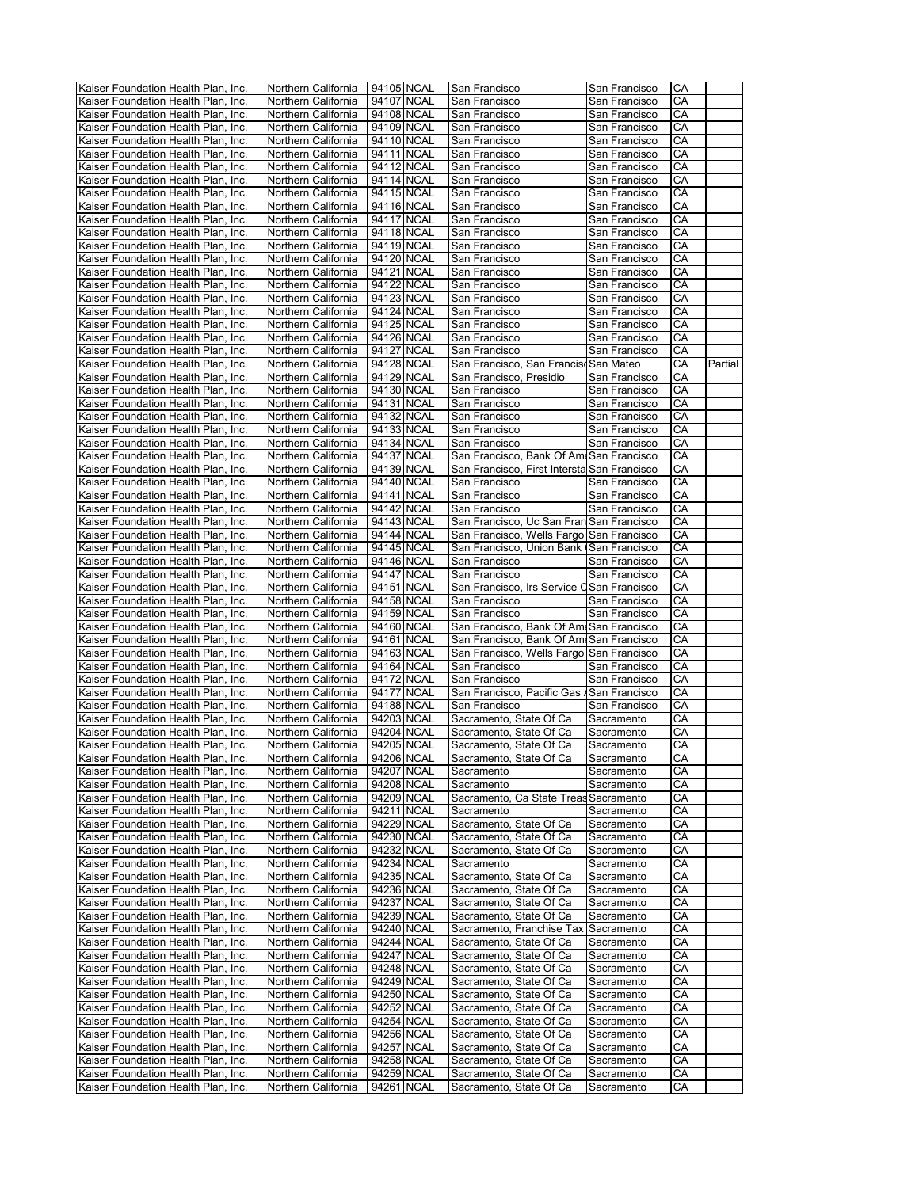| Kaiser Foundation Health Plan, Inc. |                     |            |            |                                             |               |    |         |
|-------------------------------------|---------------------|------------|------------|---------------------------------------------|---------------|----|---------|
|                                     | Northern California | 94105 NCAL |            | San Francisco                               | San Francisco | CA |         |
| Kaiser Foundation Health Plan, Inc. | Northern California | 94107 NCAL |            | San Francisco                               | San Francisco | CA |         |
|                                     |                     |            |            | San Francisco                               |               | CA |         |
| Kaiser Foundation Health Plan, Inc. | Northern California | 94108 NCAL |            |                                             | San Francisco |    |         |
| Kaiser Foundation Health Plan, Inc. | Northern California | 94109 NCAL |            | San Francisco                               | San Francisco | CA |         |
| Kaiser Foundation Health Plan, Inc. | Northern California | 94110 NCAL |            | San Francisco                               | San Francisco | CA |         |
| Kaiser Foundation Health Plan, Inc. | Northern California | 94111 NCAL |            | San Francisco                               | San Francisco | CА |         |
|                                     |                     |            |            |                                             |               |    |         |
| Kaiser Foundation Health Plan, Inc. | Northern California | 94112 NCAL |            | San Francisco                               | San Francisco | CA |         |
| Kaiser Foundation Health Plan, Inc. | Northern California | 94114 NCAL |            | San Francisco                               | San Francisco | СA |         |
| Kaiser Foundation Health Plan, Inc. | Northern California | 94115 NCAL |            | San Francisco                               | San Francisco | CA |         |
|                                     |                     |            |            |                                             |               |    |         |
| Kaiser Foundation Health Plan, Inc. | Northern California | 94116 NCAL |            | San Francisco                               | San Francisco | СA |         |
| Kaiser Foundation Health Plan, Inc. | Northern California | 94117 NCAL |            | San Francisco                               | San Francisco | CA |         |
| Kaiser Foundation Health Plan, Inc. | Northern California | 94118 NCAL |            | San Francisco                               | San Francisco | СA |         |
|                                     |                     |            |            |                                             |               |    |         |
| Kaiser Foundation Health Plan, Inc. | Northern California | 94119 NCAL |            | San Francisco                               | San Francisco | СA |         |
| Kaiser Foundation Health Plan, Inc. | Northern California | 94120 NCAL |            | San Francisco                               | San Francisco | CA |         |
| Kaiser Foundation Health Plan, Inc. | Northern California | 94121 NCAL |            | San Francisco                               | San Francisco | CA |         |
| Kaiser Foundation Health Plan, Inc. | Northern California | 94122 NCAL |            | San Francisco                               | San Francisco | CA |         |
|                                     |                     |            |            |                                             |               |    |         |
| Kaiser Foundation Health Plan, Inc. | Northern California | 94123 NCAL |            | San Francisco                               | San Francisco | CA |         |
| Kaiser Foundation Health Plan, Inc. | Northern California | 94124 NCAL |            | San Francisco                               | San Francisco | СA |         |
| Kaiser Foundation Health Plan, Inc. | Northern California | 94125 NCAL |            | San Francisco                               | San Francisco | СA |         |
|                                     |                     |            |            |                                             |               |    |         |
| Kaiser Foundation Health Plan, Inc. | Northern California | 94126 NCAL |            | San Francisco                               | San Francisco | CA |         |
| Kaiser Foundation Health Plan, Inc. | Northern California | 94127 NCAL |            | San Francisco                               | San Francisco | СA |         |
| Kaiser Foundation Health Plan, Inc. | Northern California | 94128 NCAL |            | San Francisco, San Francisc San Mateo       |               | CA | Partial |
| Kaiser Foundation Health Plan, Inc. | Northern California | 94129 NCAL |            | San Francisco, Presidio                     | San Francisco | СA |         |
|                                     |                     |            |            |                                             |               |    |         |
| Kaiser Foundation Health Plan, Inc. | Northern California | 94130 NCAL |            | San Francisco                               | San Francisco | CA |         |
| Kaiser Foundation Health Plan, Inc. | Northern California | 94131 NCAL |            | San Francisco                               | San Francisco | СA |         |
| Kaiser Foundation Health Plan, Inc. | Northern California | 94132 NCAL |            | San Francisco                               | San Francisco | CA |         |
|                                     |                     |            |            |                                             |               |    |         |
| Kaiser Foundation Health Plan, Inc. | Northern California | 94133 NCAL |            | San Francisco                               | San Francisco | CA |         |
| Kaiser Foundation Health Plan, Inc. | Northern California | 94134 NCAL |            | San Francisco                               | San Francisco | СA |         |
| Kaiser Foundation Health Plan. Inc. | Northern California | 94137 NCAL |            | San Francisco, Bank Of Ami San Francisco    |               | CA |         |
| Kaiser Foundation Health Plan, Inc. | Northern California | 94139 NCAL |            | San Francisco, First Intersta San Francisco |               | СA |         |
|                                     |                     |            |            |                                             |               |    |         |
| Kaiser Foundation Health Plan, Inc. | Northern California | 94140 NCAL |            | San Francisco                               | San Francisco | СA |         |
| Kaiser Foundation Health Plan, Inc. | Northern California | 94141 NCAL |            | San Francisco                               | San Francisco | CA |         |
| Kaiser Foundation Health Plan, Inc. | Northern California | 94142 NCAL |            | San Francisco                               | San Francisco | CA |         |
|                                     |                     |            |            |                                             |               |    |         |
| Kaiser Foundation Health Plan, Inc. | Northern California | 94143 NCAL |            | San Francisco, Uc San Fran San Francisco    |               | СA |         |
| Kaiser Foundation Health Plan, Inc. | Northern California | 94144 NCAL |            | San Francisco, Wells Fargo                  | San Francisco | CA |         |
| Kaiser Foundation Health Plan, Inc. | Northern California | 94145 NCAL |            | San Francisco, Union Bank                   | San Francisco | СA |         |
| Kaiser Foundation Health Plan, Inc. |                     | 94146 NCAL |            |                                             |               | СA |         |
|                                     | Northern California |            |            | San Francisco                               | San Francisco |    |         |
| Kaiser Foundation Health Plan, Inc. | Northern California | 94147 NCAL |            | San Francisco                               | San Francisco | СA |         |
| Kaiser Foundation Health Plan, Inc. | Northern California | 94151 NCAL |            | San Francisco, Irs Service C                | San Francisco | CA |         |
| Kaiser Foundation Health Plan, Inc. | Northern California | 94158 NCAL |            | San Francisco                               | San Francisco | CA |         |
|                                     |                     |            |            |                                             |               |    |         |
| Kaiser Foundation Health Plan, Inc. | Northern California | 94159 NCAL |            | San Francisco                               | San Francisco | СA |         |
| Kaiser Foundation Health Plan, Inc. | Northern California | 94160 NCAL |            | San Francisco, Bank Of Am San Francisco     |               | CA |         |
| Kaiser Foundation Health Plan, Inc. | Northern California | 94161 NCAL |            | San Francisco, Bank Of Am San Francisco     |               | СA |         |
|                                     |                     |            |            |                                             |               |    |         |
| Kaiser Foundation Health Plan, Inc. | Northern California | 94163 NCAL |            | San Francisco, Wells Fargo San Francisco    |               | СA |         |
| Kaiser Foundation Health Plan, Inc. | Northern California | 94164 NCAL |            | San Francisco                               | San Francisco | СA |         |
| Kaiser Foundation Health Plan, Inc. | Northern California | 94172 NCAL |            | San Francisco                               | San Francisco | СA |         |
| Kaiser Foundation Health Plan, Inc. | Northern California | 94177 NCAL |            | San Francisco, Pacific Gas / San Francisco  |               | СA |         |
|                                     |                     |            |            |                                             |               |    |         |
| Kaiser Foundation Health Plan, Inc. | Northern California | 94188 NCAL |            | San Francisco                               | San Francisco | CA |         |
| Kaiser Foundation Health Plan, Inc. |                     |            | 94203 NCAL |                                             |               |    |         |
|                                     |                     |            |            |                                             |               |    |         |
|                                     | Northern California |            |            | Sacramento, State Of Ca                     | Sacramento    | СA |         |
| Kaiser Foundation Health Plan, Inc. | Northern California | 94204 NCAL |            | Sacramento, State Of Ca                     | Sacramento    | СA |         |
| Kaiser Foundation Health Plan, Inc. | Northern California | 94205 NCAL |            | Sacramento, State Of Ca                     | Sacramento    | CA |         |
| Kaiser Foundation Health Plan, Inc. | Northern California | 94206 NCAL |            | Sacramento, State Of Ca                     | Sacramento    | CА |         |
|                                     |                     |            |            | Sacramento                                  |               | СA |         |
| Kaiser Foundation Health Plan, Inc. | Northern California | 94207 NCAL |            |                                             | Sacramento    |    |         |
| Kaiser Foundation Health Plan, Inc. | Northern California | 94208 NCAL |            | Sacramento                                  | Sacramento    | СA |         |
| Kaiser Foundation Health Plan, Inc. | Northern California | 94209 NCAL |            | Sacramento, Ca State Treas Sacramento       |               | CА |         |
| Kaiser Foundation Health Plan, Inc. | Northern California | 94211 NCAL |            | Sacramento                                  | Sacramento    | СA |         |
|                                     |                     | 94229 NCAL |            |                                             |               |    |         |
| Kaiser Foundation Health Plan, Inc. | Northern California |            |            | Sacramento, State Of Ca                     | Sacramento    | СA |         |
| Kaiser Foundation Health Plan, Inc. | Northern California | 94230 NCAL |            | Sacramento, State Of Ca                     | Sacramento    | СA |         |
| Kaiser Foundation Health Plan, Inc. | Northern California | 94232 NCAL |            | Sacramento, State Of Ca                     | Sacramento    | СA |         |
| Kaiser Foundation Health Plan, Inc. | Northern California | 94234 NCAL |            | Sacramento                                  | Sacramento    | СA |         |
|                                     |                     |            |            |                                             |               |    |         |
| Kaiser Foundation Health Plan, Inc. | Northern California | 94235 NCAL |            | Sacramento, State Of Ca                     | Sacramento    | СA |         |
| Kaiser Foundation Health Plan, Inc. | Northern California | 94236 NCAL |            | Sacramento, State Of Ca                     | Sacramento    | СA |         |
| Kaiser Foundation Health Plan, Inc. | Northern California | 94237 NCAL |            | Sacramento, State Of Ca                     | Sacramento    | СA |         |
| Kaiser Foundation Health Plan, Inc. | Northern California | 94239 NCAL |            | Sacramento, State Of Ca                     | Sacramento    | СA |         |
|                                     |                     |            |            |                                             |               |    |         |
| Kaiser Foundation Health Plan, Inc. | Northern California | 94240 NCAL |            | Sacramento, Franchise Tax                   | Sacramento    | CA |         |
| Kaiser Foundation Health Plan, Inc. | Northern California | 94244 NCAL |            | Sacramento, State Of Ca                     | Sacramento    | CA |         |
| Kaiser Foundation Health Plan, Inc. | Northern California | 94247 NCAL |            | Sacramento, State Of Ca                     | Sacramento    | СA |         |
|                                     |                     |            |            |                                             |               |    |         |
| Kaiser Foundation Health Plan, Inc. | Northern California | 94248 NCAL |            | Sacramento, State Of Ca                     | Sacramento    | CА |         |
| Kaiser Foundation Health Plan, Inc. | Northern California | 94249 NCAL |            | Sacramento, State Of Ca                     | Sacramento    | СA |         |
| Kaiser Foundation Health Plan, Inc. | Northern California | 94250 NCAL |            | Sacramento, State Of Ca                     | Sacramento    | СA |         |
| Kaiser Foundation Health Plan, Inc. | Northern California | 94252 NCAL |            | Sacramento, State Of Ca                     | Sacramento    | CА |         |
|                                     |                     |            |            |                                             |               |    |         |
| Kaiser Foundation Health Plan, Inc. | Northern California | 94254 NCAL |            | Sacramento, State Of Ca                     | Sacramento    | СA |         |
| Kaiser Foundation Health Plan, Inc. | Northern California | 94256 NCAL |            | Sacramento, State Of Ca                     | Sacramento    | СA |         |
| Kaiser Foundation Health Plan, Inc. | Northern California | 94257 NCAL |            | Sacramento, State Of Ca                     | Sacramento    | СA |         |
|                                     |                     |            |            |                                             |               |    |         |
| Kaiser Foundation Health Plan, Inc. | Northern California | 94258 NCAL |            | Sacramento, State Of Ca                     | Sacramento    | СA |         |
| Kaiser Foundation Health Plan, Inc. | Northern California | 94259 NCAL |            | Sacramento, State Of Ca                     | Sacramento    | СA |         |
| Kaiser Foundation Health Plan, Inc. | Northern California | 94261 NCAL |            | Sacramento, State Of Ca                     | Sacramento    | СA |         |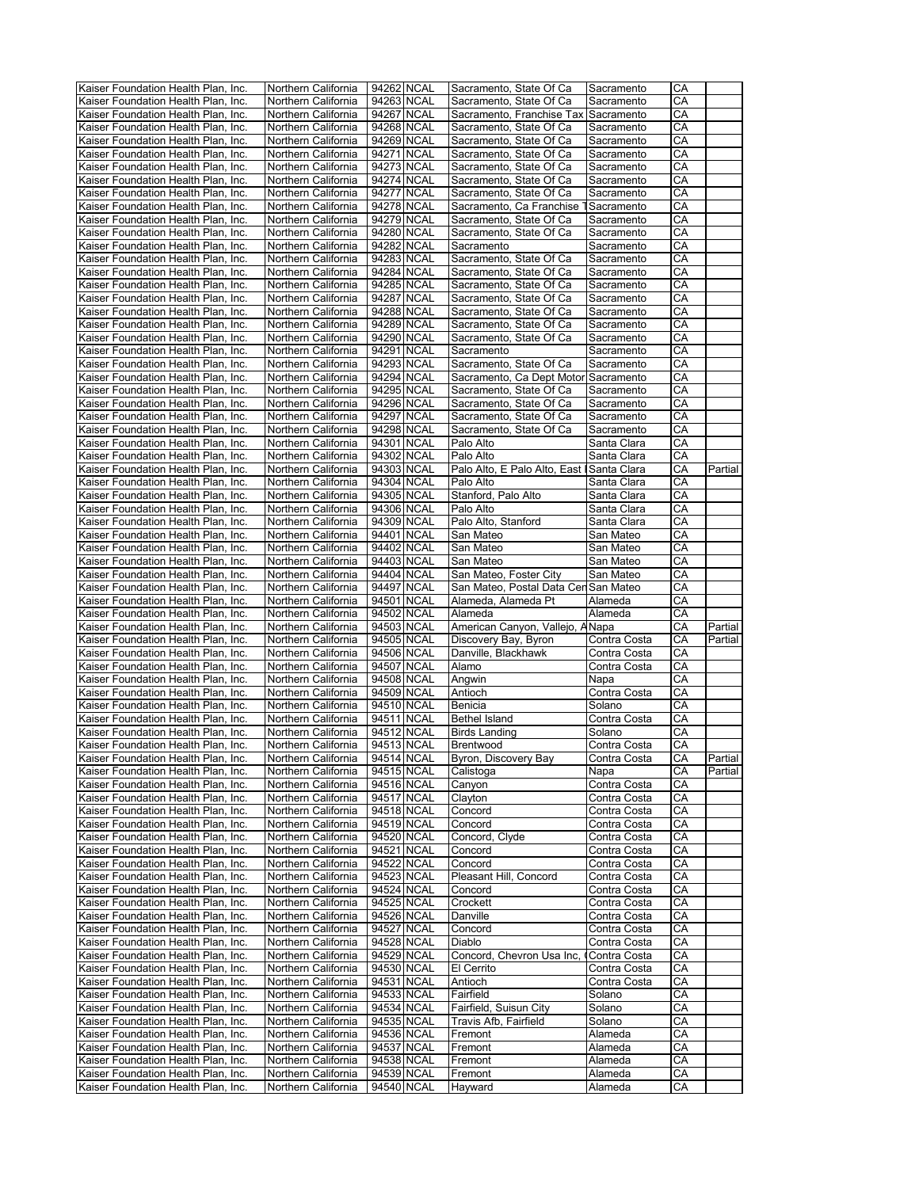| Kaiser Foundation Health Plan, Inc.                                        | Northern California                        |            | 94262 NCAL               | Sacramento, State Of Ca                    | Sacramento                   | CA       |                    |
|----------------------------------------------------------------------------|--------------------------------------------|------------|--------------------------|--------------------------------------------|------------------------------|----------|--------------------|
| Kaiser Foundation Health Plan, Inc.                                        | Northern California                        |            | 94263 NCAL               | Sacramento, State Of Ca                    | Sacramento                   | СA       |                    |
| Kaiser Foundation Health Plan, Inc.                                        | Northern California                        |            | 94267 NCAL               | Sacramento, Franchise Tax Sacramento       |                              | CА       |                    |
| Kaiser Foundation Health Plan, Inc.                                        | Northern California                        |            | 94268 NCAL               | Sacramento, State Of Ca                    | Sacramento                   | CA       |                    |
| Kaiser Foundation Health Plan, Inc.                                        | Northern California                        |            | 94269 NCAL               | Sacramento, State Of Ca                    | Sacramento                   | СA       |                    |
| Kaiser Foundation Health Plan, Inc.                                        | Northern California                        |            | 94271 NCAL               | Sacramento, State Of Ca                    | Sacramento                   | CА       |                    |
| Kaiser Foundation Health Plan. Inc.                                        | Northern California                        |            | 94273 NCAL               | Sacramento, State Of Ca                    | Sacramento                   | CA       |                    |
| Kaiser Foundation Health Plan. Inc.                                        | Northern California                        |            | 94274 NCAL               | Sacramento, State Of Ca                    | Sacramento                   | CA       |                    |
| Kaiser Foundation Health Plan, Inc.                                        | Northern California                        |            | 94277 NCAL               | Sacramento, State Of Ca                    | Sacramento                   | СA       |                    |
| Kaiser Foundation Health Plan, Inc.                                        | Northern California                        |            | 94278 NCAL               | Sacramento, Ca Franchise 1                 | Sacramento                   | СA       |                    |
| Kaiser Foundation Health Plan, Inc.                                        | Northern California                        |            | 94279 NCAL               | Sacramento, State Of Ca                    | Sacramento                   | СA       |                    |
| Kaiser Foundation Health Plan, Inc.                                        | Northern California                        |            | 94280 NCAL               | Sacramento, State Of Ca                    | Sacramento                   | CА       |                    |
|                                                                            |                                            |            | 94282 NCAL               |                                            |                              | СA       |                    |
| Kaiser Foundation Health Plan, Inc.                                        | Northern California                        |            |                          | Sacramento                                 | Sacramento                   |          |                    |
| Kaiser Foundation Health Plan, Inc.                                        | Northern California                        |            | 94283 NCAL               | Sacramento, State Of Ca                    | Sacramento                   | СA       |                    |
| Kaiser Foundation Health Plan, Inc.                                        | Northern California                        |            | 94284 NCAL               | Sacramento, State Of Ca                    | Sacramento                   | СA       |                    |
| Kaiser Foundation Health Plan, Inc.                                        | Northern California                        |            | 94285 NCAL               | Sacramento, State Of Ca                    | Sacramento                   | CА       |                    |
| Kaiser Foundation Health Plan, Inc.                                        | Northern California                        |            | 94287 NCAL               | Sacramento, State Of Ca                    | Sacramento                   | CA       |                    |
| Kaiser Foundation Health Plan, Inc.                                        | Northern California                        |            | 94288 NCAL               | Sacramento, State Of Ca                    | Sacramento                   | СA       |                    |
| Kaiser Foundation Health Plan, Inc.                                        | Northern California                        |            | 94289 NCAL               | Sacramento, State Of Ca                    | Sacramento                   | CA       |                    |
| Kaiser Foundation Health Plan, Inc.                                        | Northern California                        |            | 94290 NCAL               | Sacramento, State Of Ca                    | Sacramento                   | СA       |                    |
| Kaiser Foundation Health Plan, Inc.                                        | Northern California                        |            | 94291 NCAL               | Sacramento                                 | Sacramento                   | CА       |                    |
| Kaiser Foundation Health Plan, Inc.                                        | Northern California                        |            | 94293 NCAL               | Sacramento, State Of Ca                    | Sacramento                   | CА       |                    |
| Kaiser Foundation Health Plan, Inc.                                        | Northern California                        |            | 94294 NCAL               | Sacramento, Ca Dept Motor Sacramento       |                              | СA       |                    |
| Kaiser Foundation Health Plan, Inc.                                        | Northern California                        |            | 94295 NCAL               | Sacramento, State Of Ca                    | Sacramento                   | СA       |                    |
| Kaiser Foundation Health Plan, Inc.                                        | Northern California                        |            | 94296 NCAL               | Sacramento, State Of Ca                    | Sacramento                   | CА       |                    |
| Kaiser Foundation Health Plan, Inc.                                        | Northern California                        |            | 94297 NCAL               | Sacramento, State Of Ca                    | Sacramento                   | CA       |                    |
| Kaiser Foundation Health Plan, Inc.                                        | Northern California                        |            | 94298 NCAL               | Sacramento, State Of Ca                    | Sacramento                   | CА       |                    |
| Kaiser Foundation Health Plan, Inc.                                        | Northern California                        |            | 94301 NCAL               | Palo Alto                                  | Santa Clara                  | СA       |                    |
| Kaiser Foundation Health Plan, Inc.                                        | Northern California                        |            | 94302 NCAL               | Palo Alto                                  | Santa Clara                  | CА       |                    |
| Kaiser Foundation Health Plan, Inc.                                        | Northern California                        |            | 94303 NCAL               | Palo Alto, E Palo Alto, East   Santa Clara |                              | CA       | Partial            |
| Kaiser Foundation Health Plan, Inc.                                        | Northern California                        |            | 94304 NCAL               | Palo Alto                                  | Santa Clara                  | СA       |                    |
|                                                                            |                                            |            |                          |                                            |                              |          |                    |
| Kaiser Foundation Health Plan, Inc.                                        | Northern California                        |            | 94305 NCAL               | Stanford, Palo Alto                        | Santa Clara                  | CA       |                    |
| Kaiser Foundation Health Plan, Inc.                                        | Northern California                        |            | 94306 NCAL               | Palo Alto                                  | Santa Clara                  | СA       |                    |
| Kaiser Foundation Health Plan, Inc.                                        | Northern California                        |            | 94309 NCAL               | Palo Alto, Stanford                        | Santa Clara                  | CА       |                    |
| Kaiser Foundation Health Plan, Inc.                                        | Northern California                        |            | 94401 NCAL               | San Mateo                                  | San Mateo                    | СA       |                    |
| Kaiser Foundation Health Plan, Inc.                                        | Northern California                        |            | 94402 NCAL               | San Mateo                                  | San Mateo                    | СA       |                    |
| Kaiser Foundation Health Plan, Inc.                                        | Northern California                        |            | 94403 NCAL               | San Mateo                                  | San Mateo                    | СA       |                    |
| Kaiser Foundation Health Plan, Inc.                                        | Northern California                        |            | 94404 NCAL               | San Mateo, Foster City                     | San Mateo                    | CА       |                    |
| Kaiser Foundation Health Plan, Inc.                                        | Northern California                        |            | 94497 NCAL               | San Mateo, Postal Data Cen San Mateo       |                              | СA       |                    |
| Kaiser Foundation Health Plan, Inc.                                        | Northern California                        |            | 94501 NCAL               | Alameda, Alameda Pt                        | Alameda                      | СA       |                    |
|                                                                            |                                            |            |                          |                                            |                              |          |                    |
| Kaiser Foundation Health Plan, Inc.                                        | Northern California                        | 94502 NCAL |                          | Alameda                                    | Alameda                      | СA       |                    |
| Kaiser Foundation Health Plan, Inc.                                        | Northern California                        |            | 94503 NCAL               | American Canyon, Vallejo, ANapa            |                              | СA       |                    |
|                                                                            |                                            |            |                          |                                            |                              |          | Partial<br>Partial |
| Kaiser Foundation Health Plan, Inc.                                        | Northern California                        |            | 94505 NCAL<br>94506 NCAL | Discovery Bay, Byron                       | Contra Costa<br>Contra Costa | СA<br>CA |                    |
| Kaiser Foundation Health Plan, Inc.                                        | Northern California                        |            |                          | Danville, Blackhawk                        | Contra Costa                 |          |                    |
| Kaiser Foundation Health Plan, Inc.                                        | Northern California                        |            | 94507 NCAL               | Alamo                                      |                              | CA       |                    |
| Kaiser Foundation Health Plan. Inc.                                        | Northern California                        |            | 94508 NCAL               | Angwin                                     | Napa                         | СA       |                    |
| Kaiser Foundation Health Plan, Inc.                                        | Northern California                        |            | 94509 NCAL               | Antioch                                    | Contra Costa                 | СA       |                    |
| Kaiser Foundation Health Plan, Inc.                                        | Northern California                        |            | 94510 NCAL               | Benicia                                    | Solano                       | СA       |                    |
| Kaiser Foundation Health Plan, Inc.                                        | Northern California                        |            | 94511 NCAL               | <b>Bethel Island</b>                       | Contra Costa                 | СA       |                    |
| Kaiser Foundation Health Plan, Inc.                                        | Northern California                        |            | 94512 NCAL               | Birds Landing                              | Solano                       | СA       |                    |
| Kaiser Foundation Health Plan, Inc.                                        | Northern California                        |            | 94513 NCAL               | <b>Brentwood</b>                           | Contra Costa                 | СA       |                    |
| Kaiser Foundation Health Plan, Inc.                                        | Northern California                        |            | 94514 NCAL               | Byron, Discovery Bay                       | Contra Costa                 | СA       | Partial            |
| Kaiser Foundation Health Plan, Inc.                                        | Northern California                        |            | 94515 NCAL               | Calistoga                                  | Napa                         | СA       | Partial            |
| Kaiser Foundation Health Plan, Inc.                                        | Northern California                        |            | 94516 NCAL               | Canyon                                     | Contra Costa                 | CA       |                    |
| Kaiser Foundation Health Plan, Inc.                                        | Northern California                        |            | 94517 NCAL               | Clayton                                    | Contra Costa                 | СA       |                    |
| Kaiser Foundation Health Plan, Inc.                                        | Northern California                        |            | 94518 NCAL               | Concord                                    | Contra Costa                 | CA       |                    |
| Kaiser Foundation Health Plan, Inc.                                        | Northern California                        |            | 94519 NCAL               | Concord                                    | Contra Costa                 | CA       |                    |
| Kaiser Foundation Health Plan, Inc.                                        | Northern California                        |            | 94520 NCAL               | Concord, Clyde                             | Contra Costa                 | CA       |                    |
| Kaiser Foundation Health Plan, Inc.                                        | Northern California                        |            | 94521 NCAL               | Concord                                    | Contra Costa                 | CА       |                    |
| Kaiser Foundation Health Plan, Inc.                                        | Northern California                        |            | 94522 NCAL               | Concord                                    | Contra Costa                 | СA       |                    |
| Kaiser Foundation Health Plan, Inc.                                        | Northern California                        |            | 94523 NCAL               | Pleasant Hill, Concord                     | Contra Costa                 | CA       |                    |
| Kaiser Foundation Health Plan, Inc.                                        | Northern California                        |            | 94524 NCAL               | Concord                                    | Contra Costa                 | СA       |                    |
| Kaiser Foundation Health Plan, Inc.                                        | Northern California                        |            | 94525 NCAL               | Crockett                                   | Contra Costa                 | CA       |                    |
| Kaiser Foundation Health Plan, Inc.                                        | Northern California                        |            | 94526 NCAL               | Danville                                   | Contra Costa                 | СA       |                    |
| Kaiser Foundation Health Plan, Inc.                                        | Northern California                        |            | 94527 NCAL               | Concord                                    | Contra Costa                 | CA       |                    |
| Kaiser Foundation Health Plan, Inc.                                        | Northern California                        |            | 94528 NCAL               | Diablo                                     | Contra Costa                 | CА       |                    |
|                                                                            |                                            |            | 94529 NCAL               | Concord, Chevron Usa Inc,                  | Contra Costa                 | CA       |                    |
| Kaiser Foundation Health Plan, Inc.                                        | Northern California                        |            |                          |                                            |                              |          |                    |
| Kaiser Foundation Health Plan, Inc.                                        | Northern California                        |            | 94530 NCAL               | El Cerrito                                 | Contra Costa                 | СA       |                    |
| Kaiser Foundation Health Plan, Inc.                                        | Northern California                        |            | 94531 NCAL               | Antioch                                    | Contra Costa                 | CA       |                    |
| Kaiser Foundation Health Plan, Inc.                                        | Northern California                        |            | 94533 NCAL               | Fairfield                                  | Solano                       | CA       |                    |
| Kaiser Foundation Health Plan, Inc.                                        | Northern California                        |            | 94534 NCAL               | Fairfield, Suisun City                     | Solano                       | CA       |                    |
| Kaiser Foundation Health Plan, Inc.                                        | Northern California                        |            | 94535 NCAL               | Travis Afb, Fairfield                      | Solano                       | СA       |                    |
| Kaiser Foundation Health Plan, Inc.                                        | Northern California                        |            | 94536 NCAL               | Fremont                                    | Alameda                      | СA       |                    |
| Kaiser Foundation Health Plan, Inc.                                        | Northern California                        |            | 94537 NCAL               | Fremont                                    | Alameda                      | CA       |                    |
| Kaiser Foundation Health Plan, Inc.                                        | Northern California                        |            | 94538 NCAL               | Fremont                                    | Alameda                      | CА       |                    |
| Kaiser Foundation Health Plan, Inc.<br>Kaiser Foundation Health Plan, Inc. | Northern California<br>Northern California |            | 94539 NCAL<br>94540 NCAL | Fremont<br>Hayward                         | Alameda<br>Alameda           | CA<br>СA |                    |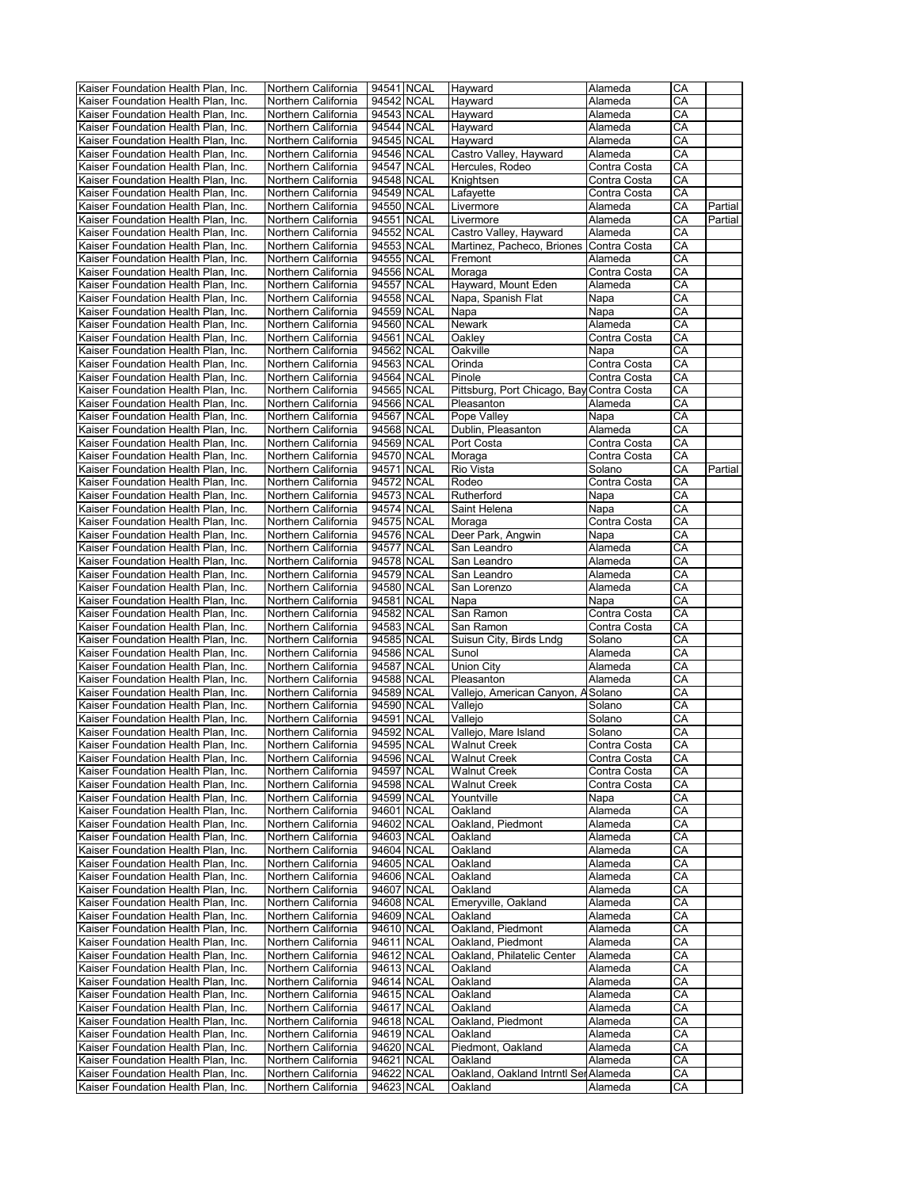| Kaiser Foundation Health Plan, Inc. | Northern California | 94541 NCAL | Hayward                                   | Alameda      | СA                     |         |
|-------------------------------------|---------------------|------------|-------------------------------------------|--------------|------------------------|---------|
| Kaiser Foundation Health Plan, Inc. | Northern California | 94542 NCAL | Hayward                                   | Alameda      | CA                     |         |
| Kaiser Foundation Health Plan, Inc. | Northern California | 94543 NCAL | Hayward                                   | Alameda      | СA                     |         |
|                                     | Northern California |            |                                           |              |                        |         |
| Kaiser Foundation Health Plan, Inc. |                     | 94544 NCAL | Hayward                                   | Alameda      | СA                     |         |
| Kaiser Foundation Health Plan, Inc. | Northern California | 94545 NCAL | Hayward                                   | Alameda      | СA                     |         |
| Kaiser Foundation Health Plan, Inc. | Northern California | 94546 NCAL | Castro Valley, Hayward                    | Alameda      | СA                     |         |
| Kaiser Foundation Health Plan, Inc. | Northern California | 94547 NCAL | Hercules, Rodeo                           | Contra Costa | СA                     |         |
| Kaiser Foundation Health Plan, Inc. | Northern California | 94548 NCAL | Knightsen                                 | Contra Costa | СA                     |         |
|                                     |                     |            |                                           |              |                        |         |
| Kaiser Foundation Health Plan, Inc. | Northern California | 94549 NCAL | Lafayette                                 | Contra Costa | CA                     |         |
| Kaiser Foundation Health Plan, Inc. | Northern California | 94550 NCAL | Livermore                                 | Alameda      | СA                     | Partial |
| Kaiser Foundation Health Plan, Inc. | Northern California | 94551 NCAL | Livermore                                 | Alameda      | CA                     | Partial |
| Kaiser Foundation Health Plan, Inc. | Northern California | 94552 NCAL | Castro Valley, Hayward                    | Alameda      | CА                     |         |
|                                     |                     |            |                                           |              |                        |         |
| Kaiser Foundation Health Plan, Inc. | Northern California | 94553 NCAL | Martinez, Pacheco, Briones                | Contra Costa | $\overline{\text{CA}}$ |         |
| Kaiser Foundation Health Plan, Inc. | Northern California | 94555 NCAL | Fremont                                   | Alameda      | СA                     |         |
| Kaiser Foundation Health Plan, Inc. | Northern California | 94556 NCAL | Moraga                                    | Contra Costa | CA                     |         |
| Kaiser Foundation Health Plan, Inc. | Northern California | 94557 NCAL | Hayward, Mount Eden                       | Alameda      | СA                     |         |
|                                     |                     |            |                                           |              |                        |         |
| Kaiser Foundation Health Plan, Inc. | Northern California | 94558 NCAL | Napa, Spanish Flat                        | Napa         | СA                     |         |
| Kaiser Foundation Health Plan, Inc. | Northern California | 94559 NCAL | Napa                                      | Napa         | CA                     |         |
| Kaiser Foundation Health Plan, Inc. | Northern California | 94560 NCAL | Newark                                    | Alameda      | СA                     |         |
| Kaiser Foundation Health Plan, Inc. | Northern California | 94561 NCAL | Oakley                                    | Contra Costa | СA                     |         |
| Kaiser Foundation Health Plan, Inc. | Northern California | 94562 NCAL | Oakville                                  | Napa         | СA                     |         |
|                                     |                     |            |                                           |              |                        |         |
| Kaiser Foundation Health Plan, Inc. | Northern California | 94563 NCAL | Orinda                                    | Contra Costa | CA                     |         |
| Kaiser Foundation Health Plan, Inc. | Northern California | 94564 NCAL | Pinole                                    | Contra Costa | СA                     |         |
| Kaiser Foundation Health Plan, Inc. | Northern California | 94565 NCAL | Pittsburg, Port Chicago, Bay Contra Costa |              | CA                     |         |
| Kaiser Foundation Health Plan, Inc. | Northern California | 94566 NCAL | Pleasanton                                | Alameda      | $\overline{\text{CA}}$ |         |
|                                     |                     |            |                                           |              |                        |         |
| Kaiser Foundation Health Plan, Inc. | Northern California | 94567 NCAL | Pope Valley                               | Napa         | СA                     |         |
| Kaiser Foundation Health Plan, Inc. | Northern California | 94568 NCAL | Dublin, Pleasanton                        | Alameda      | CА                     |         |
| Kaiser Foundation Health Plan, Inc. | Northern California | 94569 NCAL | Port Costa                                | Contra Costa | СA                     |         |
| Kaiser Foundation Health Plan, Inc. | Northern California | 94570 NCAL | Moraga                                    | Contra Costa | CА                     |         |
|                                     | Northern California | 94571 NCAL |                                           |              |                        |         |
| Kaiser Foundation Health Plan, Inc. |                     |            | Rio Vista                                 | Solano       | CА                     | Partial |
| Kaiser Foundation Health Plan, Inc. | Northern California | 94572 NCAL | Rodeo                                     | Contra Costa | СA                     |         |
| Kaiser Foundation Health Plan, Inc. | Northern California | 94573 NCAL | Rutherford                                | Napa         | СA                     |         |
| Kaiser Foundation Health Plan, Inc. | Northern California | 94574 NCAL | Saint Helena                              | Napa         | СA                     |         |
| Kaiser Foundation Health Plan, Inc. | Northern California | 94575 NCAL | Moraga                                    | Contra Costa | CА                     |         |
|                                     |                     |            |                                           |              |                        |         |
| Kaiser Foundation Health Plan, Inc. | Northern California | 94576 NCAL | Deer Park, Angwin                         | Napa         | CA                     |         |
| Kaiser Foundation Health Plan, Inc. | Northern California | 94577 NCAL | San Leandro                               | Alameda      | СA                     |         |
| Kaiser Foundation Health Plan, Inc. | Northern California | 94578 NCAL | San Leandro                               | Alameda      | CA                     |         |
| Kaiser Foundation Health Plan, Inc. | Northern California | 94579 NCAL | San Leandro                               | Alameda      | CA                     |         |
|                                     |                     |            |                                           |              |                        |         |
| Kaiser Foundation Health Plan, Inc. | Northern California | 94580 NCAL | San Lorenzo                               | Alameda      | СA                     |         |
| Kaiser Foundation Health Plan, Inc. | Northern California | 94581 NCAL | Napa                                      | Napa         | СA                     |         |
| Kaiser Foundation Health Plan, Inc. | Northern California | 94582 NCAL | San Ramon                                 | Contra Costa | CA                     |         |
| Kaiser Foundation Health Plan, Inc. | Northern California | 94583 NCAL | San Ramon                                 | Contra Costa | СA                     |         |
| Kaiser Foundation Health Plan, Inc. | Northern California | 94585 NCAL |                                           |              | СA                     |         |
|                                     |                     |            | Suisun City, Birds Lndg                   | Solano       |                        |         |
| Kaiser Foundation Health Plan, Inc. | Northern California | 94586 NCAL | Sunol                                     | Alameda      | CA                     |         |
| Kaiser Foundation Health Plan, Inc. | Northern California | 94587 NCAL | <b>Union City</b>                         | Alameda      | СA                     |         |
| Kaiser Foundation Health Plan, Inc. | Northern California | 94588 NCAL | Pleasanton                                | Alameda      | CA                     |         |
| Kaiser Foundation Health Plan, Inc. | Northern California | 94589 NCAL | Vallejo, American Canyon, A Solano        |              | СA                     |         |
|                                     |                     |            |                                           | Solano       | CA                     |         |
| Kaiser Foundation Health Plan, Inc. | Northern California | 94590 NCAL | Vallejo                                   |              |                        |         |
| Kaiser Foundation Health Plan, Inc. | Northern California | 94591 NCAL | Vallejo                                   | Solano       | СA                     |         |
| Kaiser Foundation Health Plan, Inc. | Northern California | 94592 NCAL | Vallejo, Mare Island                      | Solano       | $\overline{\text{CA}}$ |         |
| Kaiser Foundation Health Plan, Inc. | Northern California | 94595 NCAL | Walnut Creek                              | Contra Costa | СA                     |         |
| Kaiser Foundation Health Plan, Inc. | Northern California | 94596 NCAL | <b>Walnut Creek</b>                       | Contra Costa | СA                     |         |
|                                     |                     |            |                                           |              |                        |         |
| Kaiser Foundation Health Plan, Inc. | Northern California | 94597 NCAL | <b>Walnut Creek</b>                       | Contra Costa | СA                     |         |
| Kaiser Foundation Health Plan, Inc. | Northern California | 94598 NCAL | <b>Walnut Creek</b>                       | Contra Costa | CА                     |         |
| Kaiser Foundation Health Plan, Inc. | Northern California | 94599 NCAL | Yountville                                | Napa         | CА                     |         |
| Kaiser Foundation Health Plan, Inc. | Northern California | 94601 NCAL | Oakland                                   | Alameda      | CА                     |         |
| Kaiser Foundation Health Plan, Inc. | Northern California | 94602 NCAL | Oakland, Piedmont                         | Alameda      | СA                     |         |
|                                     |                     |            |                                           |              |                        |         |
| Kaiser Foundation Health Plan, Inc. | Northern California | 94603 NCAL | Oakland                                   | Alameda      | СA                     |         |
| Kaiser Foundation Health Plan, Inc. | Northern California | 94604 NCAL | Oakland                                   | Alameda      | СA                     |         |
| Kaiser Foundation Health Plan, Inc. | Northern California | 94605 NCAL | Oakland                                   | Alameda      | CА                     |         |
| Kaiser Foundation Health Plan, Inc. | Northern California | 94606 NCAL | Oakland                                   | Alameda      | СA                     |         |
| Kaiser Foundation Health Plan, Inc. | Northern California | 94607 NCAL | Oakland                                   | Alameda      | CА                     |         |
|                                     |                     |            |                                           |              |                        |         |
| Kaiser Foundation Health Plan, Inc. | Northern California | 94608 NCAL | Emeryville, Oakland                       | Alameda      | СA                     |         |
| Kaiser Foundation Health Plan, Inc. | Northern California | 94609 NCAL | Oakland                                   | Alameda      | СA                     |         |
| Kaiser Foundation Health Plan, Inc. | Northern California | 94610 NCAL | Oakland. Piedmont                         | Alameda      | CA                     |         |
| Kaiser Foundation Health Plan, Inc. | Northern California | 94611 NCAL | Oakland. Piedmont                         | Alameda      | CА                     |         |
| Kaiser Foundation Health Plan, Inc. | Northern California | 94612 NCAL | Oakland, Philatelic Center                | Alameda      | СA                     |         |
|                                     |                     |            |                                           |              |                        |         |
| Kaiser Foundation Health Plan, Inc. | Northern California | 94613 NCAL | Oakland                                   | Alameda      | СA                     |         |
| Kaiser Foundation Health Plan, Inc. | Northern California | 94614 NCAL | Oakland                                   | Alameda      | CА                     |         |
| Kaiser Foundation Health Plan, Inc. | Northern California | 94615 NCAL | Oakland                                   | Alameda      | СA                     |         |
| Kaiser Foundation Health Plan, Inc. | Northern California | 94617 NCAL | Oakland                                   | Alameda      | CА                     |         |
| Kaiser Foundation Health Plan, Inc. | Northern California | 94618 NCAL | Oakland, Piedmont                         | Alameda      | СA                     |         |
|                                     |                     |            |                                           |              |                        |         |
| Kaiser Foundation Health Plan, Inc. | Northern California | 94619 NCAL | Oakland                                   | Alameda      | СA                     |         |
| Kaiser Foundation Health Plan, Inc. | Northern California | 94620 NCAL | Piedmont, Oakland                         | Alameda      | СA                     |         |
| Kaiser Foundation Health Plan, Inc. | Northern California | 94621 NCAL | Oakland                                   | Alameda      | СA                     |         |
| Kaiser Foundation Health Plan, Inc. | Northern California | 94622 NCAL | Oakland, Oakland Intrntl Sei Alameda      |              | СA                     |         |
|                                     | Northern California | 94623 NCAL | Oakland                                   | Alameda      | CА                     |         |
| Kaiser Foundation Health Plan, Inc. |                     |            |                                           |              |                        |         |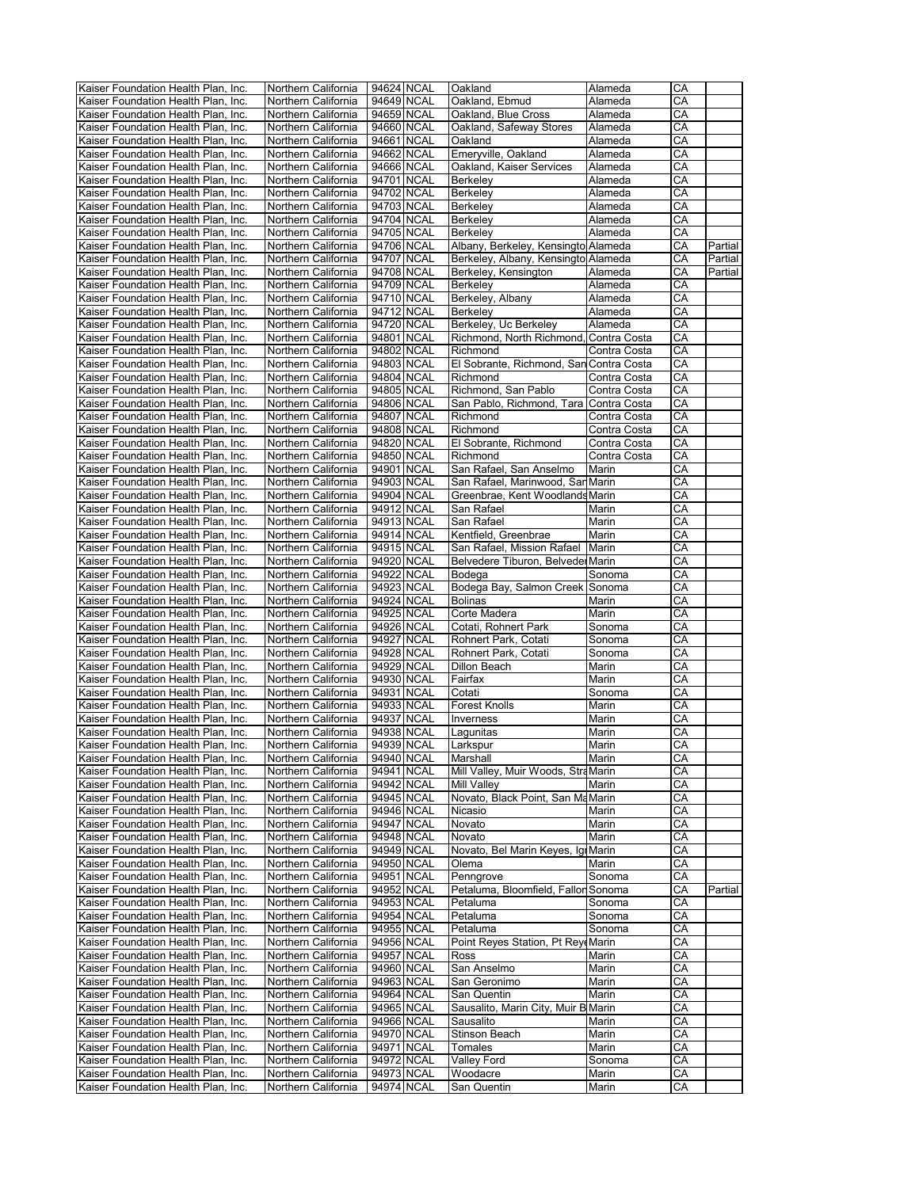| Kaiser Foundation Health Plan, Inc. | Northern California | 94624 NCAL | Oakland                                 | Alameda      | СA |         |
|-------------------------------------|---------------------|------------|-----------------------------------------|--------------|----|---------|
| Kaiser Foundation Health Plan, Inc. | Northern California | 94649 NCAL | Oakland, Ebmud                          | Alameda      | CА |         |
| Kaiser Foundation Health Plan, Inc. | Northern California | 94659 NCAL | Oakland, Blue Cross                     | Alameda      | СA |         |
| Kaiser Foundation Health Plan, Inc. | Northern California | 94660 NCAL | Oakland, Safeway Stores                 | Alameda      | CA |         |
| Kaiser Foundation Health Plan, Inc. | Northern California | 94661 NCAL | Oakland                                 | Alameda      | CA |         |
| Kaiser Foundation Health Plan, Inc. | Northern California | 94662 NCAL | Emeryville, Oakland                     | Alameda      | CA |         |
|                                     |                     | 94666 NCAL | Oakland, Kaiser Services                |              | CA |         |
| Kaiser Foundation Health Plan, Inc. | Northern California |            |                                         | Alameda      |    |         |
| Kaiser Foundation Health Plan, Inc. | Northern California | 94701 NCAL | Berkeley                                | Alameda      | СA |         |
| Kaiser Foundation Health Plan, Inc. | Northern California | 94702 NCAL | Berkeley                                | Alameda      | CA |         |
| Kaiser Foundation Health Plan, Inc. | Northern California | 94703 NCAL | Berkeley                                | Alameda      | CA |         |
| Kaiser Foundation Health Plan, Inc. | Northern California | 94704 NCAL | Berkeley                                | Alameda      | CA |         |
| Kaiser Foundation Health Plan, Inc. | Northern California | 94705 NCAL | Berkeley                                | Alameda      | СA |         |
| Kaiser Foundation Health Plan, Inc. | Northern California | 94706 NCAL | Albany, Berkeley, Kensingto Alameda     |              | CA | Partial |
| Kaiser Foundation Health Plan, Inc. | Northern California | 94707 NCAL | Berkeley, Albany, Kensingto Alameda     |              | CА | Partial |
| Kaiser Foundation Health Plan, Inc. | Northern California | 94708 NCAL | Berkeley, Kensington                    | Alameda      | CA | Partial |
| Kaiser Foundation Health Plan, Inc. | Northern California | 94709 NCAL | Berkeley                                | Alameda      | СA |         |
|                                     |                     | 94710 NCAL |                                         |              | СA |         |
| Kaiser Foundation Health Plan, Inc. | Northern California |            | Berkeley, Albany                        | Alameda      |    |         |
| Kaiser Foundation Health Plan, Inc. | Northern California | 94712 NCAL | Berkeley                                | Alameda      | CA |         |
| Kaiser Foundation Health Plan, Inc. | Northern California | 94720 NCAL | Berkeley, Uc Berkeley                   | Alameda      | CA |         |
| Kaiser Foundation Health Plan, Inc. | Northern California | 94801 NCAL | Richmond, North Richmond, Contra Costa  |              | СA |         |
| Kaiser Foundation Health Plan, Inc. | Northern California | 94802 NCAL | Richmond                                | Contra Costa | CA |         |
| Kaiser Foundation Health Plan, Inc. | Northern California | 94803 NCAL | El Sobrante, Richmond, San Contra Costa |              | CA |         |
| Kaiser Foundation Health Plan, Inc. | Northern California | 94804 NCAL | Richmond                                | Contra Costa | СA |         |
| Kaiser Foundation Health Plan, Inc. | Northern California | 94805 NCAL | Richmond, San Pablo                     | Contra Costa | CA |         |
| Kaiser Foundation Health Plan, Inc. | Northern California | 94806 NCAL | San Pablo, Richmond, Tara Contra Costa  |              | СA |         |
|                                     | Northern California | 94807 NCAL | Richmond                                |              | CA |         |
| Kaiser Foundation Health Plan, Inc. |                     |            |                                         | Contra Costa |    |         |
| Kaiser Foundation Health Plan, Inc. | Northern California | 94808 NCAL | Richmond                                | Contra Costa | СA |         |
| Kaiser Foundation Health Plan, Inc. | Northern California | 94820 NCAL | El Sobrante, Richmond                   | Contra Costa | CA |         |
| Kaiser Foundation Health Plan, Inc. | Northern California | 94850 NCAL | Richmond                                | Contra Costa | СA |         |
| Kaiser Foundation Health Plan, Inc. | Northern California | 94901 NCAL | San Rafael, San Anselmo                 | Marin        | CA |         |
| Kaiser Foundation Health Plan, Inc. | Northern California | 94903 NCAL | San Rafael, Marinwood, San Marin        |              | CA |         |
| Kaiser Foundation Health Plan. Inc. | Northern California | 94904 NCAL | Greenbrae, Kent Woodlands Marin         |              | CA |         |
| Kaiser Foundation Health Plan, Inc. | Northern California | 94912 NCAL | San Rafael                              | Marin        | СA |         |
| Kaiser Foundation Health Plan, Inc. | Northern California | 94913 NCAL | San Rafael                              | Marin        | CA |         |
| Kaiser Foundation Health Plan, Inc. | Northern California | 94914 NCAL | Kentfield, Greenbrae                    | Marin        | CA |         |
| Kaiser Foundation Health Plan, Inc. | Northern California | 94915 NCAL | San Rafael, Mission Rafael              | Marin        | СA |         |
| Kaiser Foundation Health Plan, Inc. | Northern California | 94920 NCAL | Belvedere Tiburon, Belveder Marin       |              | CA |         |
|                                     |                     |            |                                         |              |    |         |
| Kaiser Foundation Health Plan, Inc. | Northern California | 94922 NCAL | Bodega                                  | Sonoma       | CA |         |
| Kaiser Foundation Health Plan, Inc. | Northern California | 94923 NCAL | Bodega Bay, Salmon Creek Sonoma         |              | CA |         |
| Kaiser Foundation Health Plan, Inc. | Northern California | 94924 NCAL | <b>Bolinas</b>                          | Marin        | CA |         |
| Kaiser Foundation Health Plan, Inc. | Northern California | 94925 NCAL | Corte Madera                            | Marin        | CA |         |
| Kaiser Foundation Health Plan, Inc. | Northern California | 94926 NCAL | Cotati, Rohnert Park                    | Sonoma       | CA |         |
| Kaiser Foundation Health Plan, Inc. | Northern California | 94927 NCAL | Rohnert Park, Cotati                    | Sonoma       | CA |         |
| Kaiser Foundation Health Plan, Inc. | Northern California | 94928 NCAL | Rohnert Park, Cotati                    | Sonoma       | CA |         |
| Kaiser Foundation Health Plan, Inc. | Northern California | 94929 NCAL | Dillon Beach                            | Marin        | СA |         |
| Kaiser Foundation Health Plan, Inc. | Northern California | 94930 NCAL | Fairfax                                 | Marin        | CA |         |
| Kaiser Foundation Health Plan, Inc. | Northern California | 94931 NCAL | Cotati                                  | Sonoma       | СA |         |
| Kaiser Foundation Health Plan, Inc. | Northern California | 94933 NCAL | <b>Forest Knolls</b>                    | Marin        | CA |         |
|                                     |                     |            |                                         |              |    |         |
| Kaiser Foundation Health Plan, Inc. | Northern California | 94937 NCAL | Inverness                               | Marin        | СA |         |
| Kaiser Foundation Health Plan, Inc. | Northern California | 94938 NCAL | Lagunitas                               | Marin        | CA |         |
| Kaiser Foundation Health Plan, Inc. | Northern California | 94939 NCAL | Larkspur                                | Marin        | CA |         |
| Kaiser Foundation Health Plan, Inc. | Northern California | 94940 NCAL | Marshall                                | Marin        | CА |         |
| Kaiser Foundation Health Plan, Inc. | Northern California | 94941 NCAL | Mill Valley, Muir Woods, Stra Marin     |              | CA |         |
| Kaiser Foundation Health Plan, Inc. | Northern California | 94942 NCAL | Mill Valley                             | Marin        | СA |         |
| Kaiser Foundation Health Plan, Inc. | Northern California | 94945 NCAL | Novato, Black Point, San Ma Marin       |              | СA |         |
| Kaiser Foundation Health Plan, Inc. | Northern California | 94946 NCAL | Nicasio                                 | Marin        | CA |         |
| Kaiser Foundation Health Plan, Inc. | Northern California | 94947 NCAL | Novato                                  | Marin        | CА |         |
| Kaiser Foundation Health Plan, Inc. | Northern California | 94948 NCAL | Novato                                  | Marin        | CА |         |
| Kaiser Foundation Health Plan, Inc. | Northern California | 94949 NCAL | Novato, Bel Marin Keyes, Igi Marin      |              | СA |         |
| Kaiser Foundation Health Plan, Inc. |                     |            |                                         |              |    |         |
|                                     | Northern California | 94950 NCAL | Olema                                   | Marin        | СA |         |
| Kaiser Foundation Health Plan, Inc. | Northern California | 94951 NCAL | Penngrove                               | Sonoma       | СA |         |
| Kaiser Foundation Health Plan, Inc. | Northern California | 94952 NCAL | Petaluma, Bloomfield, Fallor Sonoma     |              | СA | Partial |
| Kaiser Foundation Health Plan, Inc. | Northern California | 94953 NCAL | Petaluma                                | Sonoma       | CA |         |
| Kaiser Foundation Health Plan, Inc. | Northern California | 94954 NCAL | Petaluma                                | Sonoma       | СA |         |
| Kaiser Foundation Health Plan, Inc. | Northern California | 94955 NCAL | Petaluma                                | Sonoma       | CA |         |
| Kaiser Foundation Health Plan, Inc. | Northern California | 94956 NCAL | Point Reyes Station, Pt Reyt Marin      |              | СA |         |
| Kaiser Foundation Health Plan, Inc. | Northern California | 94957 NCAL | Ross                                    | Marin        | CA |         |
| Kaiser Foundation Health Plan, Inc. | Northern California | 94960 NCAL | San Anselmo                             | Marin        | СA |         |
| Kaiser Foundation Health Plan, Inc. | Northern California | 94963 NCAL | San Geronimo                            | Marin        | СA |         |
| Kaiser Foundation Health Plan, Inc. | Northern California | 94964 NCAL | San Quentin                             | Marin        | СA |         |
| Kaiser Foundation Health Plan, Inc. |                     | 94965 NCAL |                                         |              | CА |         |
|                                     | Northern California |            | Sausalito, Marin City, Muir B Marin     |              |    |         |
| Kaiser Foundation Health Plan, Inc. | Northern California | 94966 NCAL | Sausalito                               | Marin        | CA |         |
| Kaiser Foundation Health Plan, Inc. | Northern California | 94970 NCAL | Stinson Beach                           | Marin        | CА |         |
| Kaiser Foundation Health Plan, Inc. | Northern California | 94971 NCAL | Tomales                                 | Marin        | СA |         |
| Kaiser Foundation Health Plan, Inc. | Northern California | 94972 NCAL | Valley Ford                             | Sonoma       | СA |         |
| Kaiser Foundation Health Plan, Inc. | Northern California | 94973 NCAL | Woodacre                                | Marin        | СA |         |
| Kaiser Foundation Health Plan, Inc. | Northern California | 94974 NCAL | San Quentin                             | Marin        | CА |         |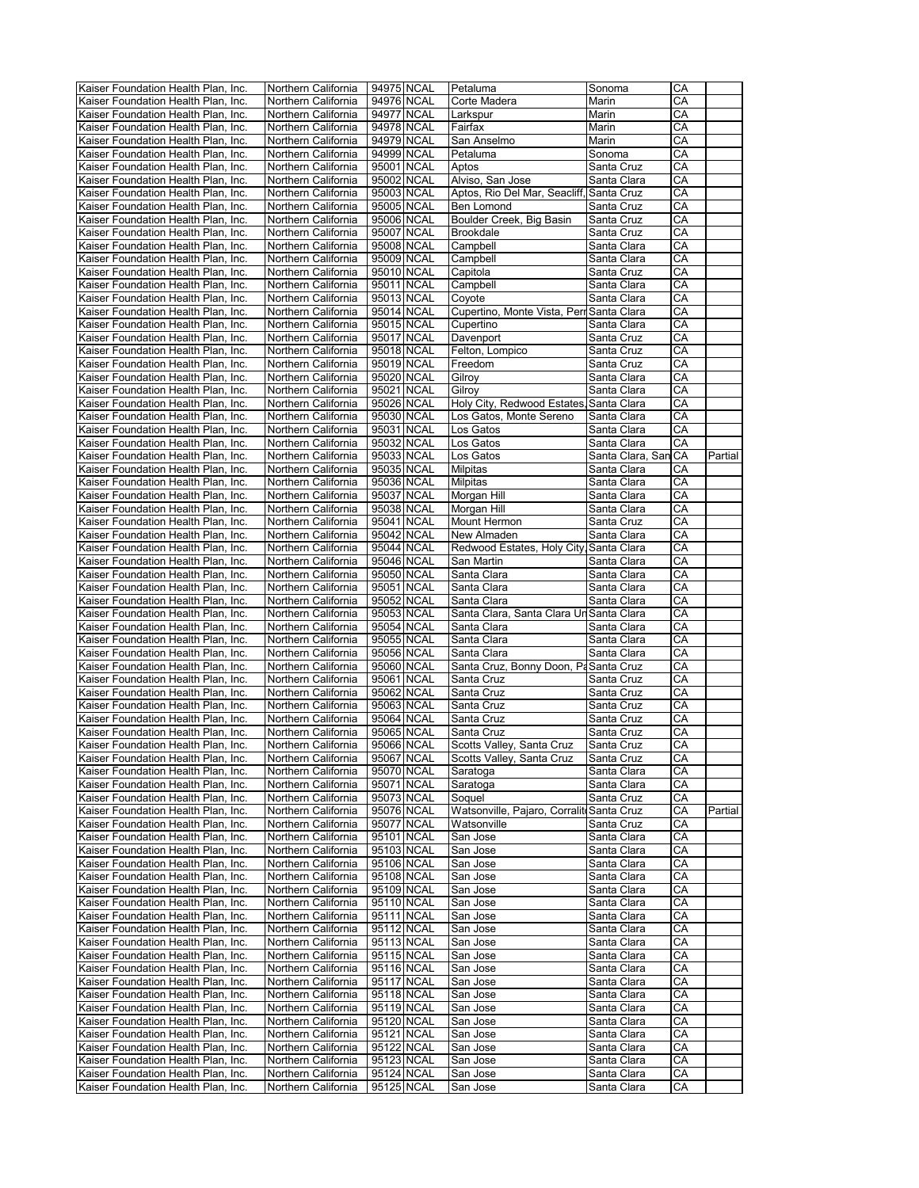| Kaiser Foundation Health Plan, Inc. | Northern California | 94975 NCAL | Petaluma                                  | Sonoma              | CА |         |
|-------------------------------------|---------------------|------------|-------------------------------------------|---------------------|----|---------|
| Kaiser Foundation Health Plan, Inc. | Northern California | 94976 NCAL | Corte Madera                              | Marin               | CА |         |
| Kaiser Foundation Health Plan, Inc. | Northern California | 94977 NCAL | Larkspur                                  | Marin               | CА |         |
| Kaiser Foundation Health Plan, Inc. | Northern California | 94978 NCAL | Fairfax                                   | Marin               | CA |         |
| Kaiser Foundation Health Plan, Inc. | Northern California | 94979 NCAL | San Anselmo                               | Marin               | СA |         |
| Kaiser Foundation Health Plan, Inc. | Northern California | 94999 NCAL | Petaluma                                  | Sonoma              | CA |         |
|                                     |                     |            |                                           |                     |    |         |
| Kaiser Foundation Health Plan. Inc. | Northern California | 95001 NCAL | Aptos                                     | Santa Cruz          | СA |         |
| Kaiser Foundation Health Plan, Inc. | Northern California | 95002 NCAL | Alviso, San Jose                          | Santa Clara         | CА |         |
| Kaiser Foundation Health Plan, Inc. | Northern California | 95003 NCAL | Aptos, Rio Del Mar, Seacliff,             | Santa Cruz          | CА |         |
| Kaiser Foundation Health Plan, Inc. | Northern California | 95005 NCAL | Ben Lomond                                | Santa Cruz          | CА |         |
| Kaiser Foundation Health Plan, Inc. | Northern California | 95006 NCAL | Boulder Creek, Big Basin                  | Santa Cruz          | CА |         |
| Kaiser Foundation Health Plan, Inc. | Northern California | 95007 NCAL | <b>Brookdale</b>                          | Santa Cruz          | CА |         |
| Kaiser Foundation Health Plan, Inc. | Northern California | 95008 NCAL | Campbell                                  | Santa Clara         | СA |         |
| Kaiser Foundation Health Plan, Inc. | Northern California | 95009 NCAL | Campbell                                  | Santa Clara         | СA |         |
|                                     |                     |            |                                           |                     |    |         |
| Kaiser Foundation Health Plan, Inc. | Northern California | 95010 NCAL | Capitola                                  | Santa Cruz          | CA |         |
| Kaiser Foundation Health Plan, Inc. | Northern California | 95011 NCAL | Campbell                                  | Santa Clara         | CA |         |
| Kaiser Foundation Health Plan, Inc. | Northern California | 95013 NCAL | Coyote                                    | Santa Clara         | СA |         |
| Kaiser Foundation Health Plan, Inc. | Northern California | 95014 NCAL | Cupertino, Monte Vista, Perr Santa Clara  |                     | СA |         |
| Kaiser Foundation Health Plan, Inc. | Northern California | 95015 NCAL | Cupertino                                 | Santa Clara         | СA |         |
| Kaiser Foundation Health Plan, Inc. | Northern California | 95017 NCAL | Davenport                                 | Santa Cruz          | CА |         |
| Kaiser Foundation Health Plan, Inc. | Northern California | 95018 NCAL | Felton, Lompico                           | Santa Cruz          | CА |         |
| Kaiser Foundation Health Plan, Inc. | Northern California | 95019 NCAL | Freedom                                   | Santa Cruz          | СA |         |
| Kaiser Foundation Health Plan, Inc. | Northern California | 95020 NCAL | Gilroy                                    |                     | CА |         |
|                                     |                     |            |                                           | Santa Clara         |    |         |
| Kaiser Foundation Health Plan, Inc. | Northern California | 95021 NCAL | Gilroy                                    | Santa Clara         | СA |         |
| Kaiser Foundation Health Plan, Inc. | Northern California | 95026 NCAL | Holy City, Redwood Estates, Santa Clara   |                     | CА |         |
| Kaiser Foundation Health Plan, Inc. | Northern California | 95030 NCAL | Los Gatos, Monte Sereno                   | Santa Clara         | СA |         |
| Kaiser Foundation Health Plan, Inc. | Northern California | 95031 NCAL | Los Gatos                                 | Santa Clara         | CА |         |
| Kaiser Foundation Health Plan, Inc. | Northern California | 95032 NCAL | Los Gatos                                 | Santa Clara         | СA |         |
| Kaiser Foundation Health Plan, Inc. | Northern California | 95033 NCAL | Los Gatos                                 | Santa Clara, San CA |    | Partial |
| Kaiser Foundation Health Plan, Inc. | Northern California | 95035 NCAL | Milpitas                                  | Santa Clara         | CА |         |
| Kaiser Foundation Health Plan, Inc. | Northern California | 95036 NCAL | Milpitas                                  | Santa Clara         | CА |         |
|                                     |                     |            |                                           |                     |    |         |
| Kaiser Foundation Health Plan, Inc. | Northern California | 95037 NCAL | Morgan Hill                               | Santa Clara         | CА |         |
| Kaiser Foundation Health Plan, Inc. | Northern California | 95038 NCAL | Morgan Hill                               | Santa Clara         | CА |         |
| Kaiser Foundation Health Plan, Inc. | Northern California | 95041 NCAL | Mount Hermon                              | Santa Cruz          | CА |         |
| Kaiser Foundation Health Plan, Inc. | Northern California | 95042 NCAL | New Almaden                               | Santa Clara         | СA |         |
| Kaiser Foundation Health Plan, Inc. | Northern California | 95044 NCAL | Redwood Estates, Holy City, Santa Clara   |                     | CА |         |
| Kaiser Foundation Health Plan, Inc. | Northern California | 95046 NCAL | San Martin                                | Santa Clara         | CА |         |
| Kaiser Foundation Health Plan, Inc. | Northern California | 95050 NCAL | Santa Clara                               | Santa Clara         | CА |         |
| Kaiser Foundation Health Plan, Inc. | Northern California | 95051 NCAL | Santa Clara                               | Santa Clara         | СA |         |
| Kaiser Foundation Health Plan, Inc. | Northern California | 95052 NCAL | Santa Clara                               | Santa Clara         | CА |         |
| Kaiser Foundation Health Plan, Inc. | Northern California | 95053 NCAL | Santa Clara, Santa Clara Un Santa Clara   |                     | СA |         |
|                                     |                     |            |                                           |                     |    |         |
| Kaiser Foundation Health Plan, Inc. | Northern California | 95054 NCAL | Santa Clara                               | Santa Clara         | CА |         |
| Kaiser Foundation Health Plan, Inc. | Northern California | 95055 NCAL | Santa Clara                               | Santa Clara         | CA |         |
| Kaiser Foundation Health Plan, Inc. | Northern California | 95056 NCAL | Santa Clara                               | Santa Clara         | СA |         |
| Kaiser Foundation Health Plan, Inc. | Northern California | 95060 NCAL | Santa Cruz, Bonny Doon, Pa Santa Cruz     |                     | CА |         |
| Kaiser Foundation Health Plan, Inc. | Northern California | 95061 NCAL | Santa Cruz                                | Santa Cruz          | СA |         |
| Kaiser Foundation Health Plan, Inc. | Northern California | 95062 NCAL | Santa Cruz                                | Santa Cruz          | CА |         |
| Kaiser Foundation Health Plan, Inc. | Northern California | 95063 NCAL | Santa Cruz                                | Santa Cruz          | СA |         |
| Kaiser Foundation Health Plan, Inc. | Northern California | 95064 NCAL | Santa Cruz                                | Santa Cruz          | СA |         |
| Kaiser Foundation Health Plan, Inc. | Northern California | 95065 NCAL | Santa Cruz                                | Santa Cruz          | СA |         |
|                                     |                     |            |                                           |                     |    |         |
| Kaiser Foundation Health Plan, Inc. | Northern California | 95066 NCAL | Scotts Valley, Santa Cruz                 | Santa Cruz          | СA |         |
| Kaiser Foundation Health Plan, Inc. | Northern California | 95067 NCAL | Scotts Valley, Santa Cruz                 | Santa Cruz          | CА |         |
| Kaiser Foundation Health Plan, Inc. | Northern California | 95070 NCAL | Saratoga                                  | Santa Clara         | CА |         |
| Kaiser Foundation Health Plan, Inc. | Northern California | 95071 NCAL | Saratoga                                  | Santa Clara         | СA |         |
| Kaiser Foundation Health Plan, Inc. | Northern California | 95073 NCAL | Soquel                                    | Santa Cruz          | CА |         |
| Kaiser Foundation Health Plan, Inc. | Northern California | 95076 NCAL | Watsonville, Pajaro, Corraliti Santa Cruz |                     | CА | Partial |
| Kaiser Foundation Health Plan. Inc. | Northern California | 95077 NCAL | Watsonville                               | Santa Cruz          | CА |         |
| Kaiser Foundation Health Plan, Inc. | Northern California | 95101 NCAL | San Jose                                  | Santa Clara         | CА |         |
| Kaiser Foundation Health Plan, Inc. | Northern California | 95103 NCAL | San Jose                                  | Santa Clara         | CА |         |
| Kaiser Foundation Health Plan, Inc. | Northern California | 95106 NCAL | San Jose                                  | Santa Clara         | CА |         |
|                                     |                     |            |                                           |                     |    |         |
| Kaiser Foundation Health Plan, Inc. | Northern California | 95108 NCAL | San Jose                                  | Santa Clara         | СA |         |
| Kaiser Foundation Health Plan, Inc. | Northern California | 95109 NCAL | San Jose                                  | Santa Clara         | СA |         |
| Kaiser Foundation Health Plan, Inc. | Northern California | 95110 NCAL | San Jose                                  | Santa Clara         | СA |         |
| Kaiser Foundation Health Plan, Inc. | Northern California | 95111 NCAL | San Jose                                  | Santa Clara         | CА |         |
| Kaiser Foundation Health Plan, Inc. | Northern California | 95112 NCAL | San Jose                                  | Santa Clara         | СA |         |
| Kaiser Foundation Health Plan, Inc. | Northern California | 95113 NCAL | San Jose                                  | Santa Clara         | СA |         |
| Kaiser Foundation Health Plan, Inc. | Northern California | 95115 NCAL | San Jose                                  | Santa Clara         | СA |         |
| Kaiser Foundation Health Plan, Inc. | Northern California | 95116 NCAL | San Jose                                  | Santa Clara         | СA |         |
| Kaiser Foundation Health Plan, Inc. | Northern California | 95117 NCAL | San Jose                                  | Santa Clara         | CА |         |
| Kaiser Foundation Health Plan, Inc. | Northern California | 95118 NCAL | San Jose                                  | Santa Clara         | CА |         |
|                                     |                     |            |                                           |                     |    |         |
| Kaiser Foundation Health Plan, Inc. | Northern California | 95119 NCAL | San Jose                                  | Santa Clara         | СA |         |
| Kaiser Foundation Health Plan, Inc. | Northern California | 95120 NCAL | San Jose                                  | Santa Clara         | СA |         |
| Kaiser Foundation Health Plan, Inc. | Northern California | 95121 NCAL | San Jose                                  | Santa Clara         | СA |         |
| Kaiser Foundation Health Plan, Inc. | Northern California | 95122 NCAL | San Jose                                  | Santa Clara         | СA |         |
| Kaiser Foundation Health Plan, Inc. | Northern California | 95123 NCAL | San Jose                                  | Santa Clara         | СA |         |
| Kaiser Foundation Health Plan, Inc. | Northern California | 95124 NCAL | San Jose                                  | Santa Clara         | СA |         |
| Kaiser Foundation Health Plan, Inc. | Northern California | 95125 NCAL | San Jose                                  | Santa Clara         | СA |         |
|                                     |                     |            |                                           |                     |    |         |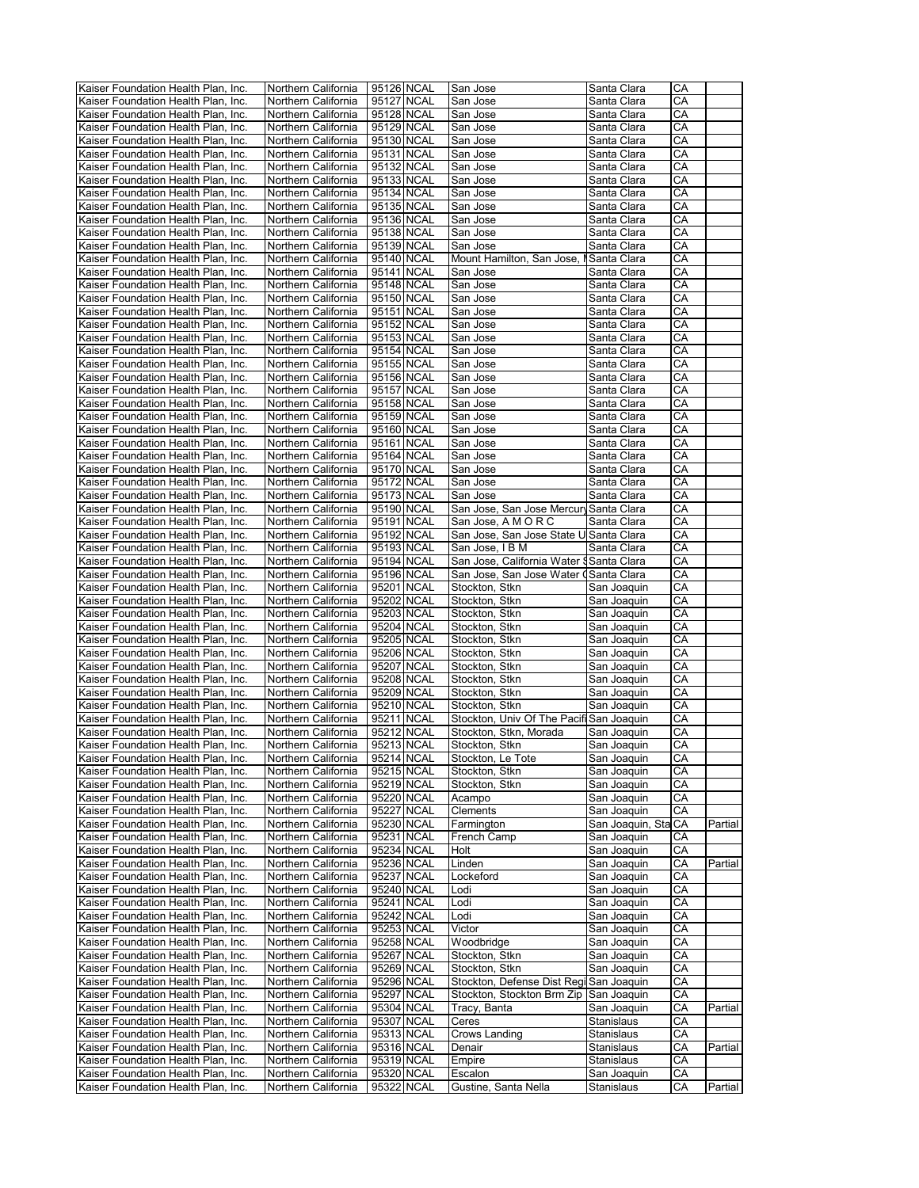| Kaiser Foundation Health Plan, Inc. | Northern California | 95126 NCAL |            | San Jose                                 | Santa Clara         | CА |         |
|-------------------------------------|---------------------|------------|------------|------------------------------------------|---------------------|----|---------|
| Kaiser Foundation Health Plan, Inc. | Northern California | 95127 NCAL |            | San Jose                                 | Santa Clara         | CА |         |
| Kaiser Foundation Health Plan, Inc. | Northern California |            | 95128 NCAL | San Jose                                 | Santa Clara         | CА |         |
|                                     |                     |            |            |                                          |                     |    |         |
| Kaiser Foundation Health Plan, Inc. | Northern California |            | 95129 NCAL | San Jose                                 | Santa Clara         | CА |         |
| Kaiser Foundation Health Plan, Inc. | Northern California | 95130 NCAL |            | San Jose                                 | Santa Clara         | СA |         |
|                                     |                     |            |            |                                          |                     |    |         |
| Kaiser Foundation Health Plan, Inc. | Northern California | 95131 NCAL |            | San Jose                                 | Santa Clara         | СA |         |
| Kaiser Foundation Health Plan, Inc. | Northern California | 95132 NCAL |            | San Jose                                 | Santa Clara         | СA |         |
| Kaiser Foundation Health Plan, Inc. | Northern California | 95133 NCAL |            | San Jose                                 | Santa Clara         | СA |         |
|                                     |                     |            |            |                                          |                     |    |         |
| Kaiser Foundation Health Plan, Inc. | Northern California |            | 95134 NCAL | San Jose                                 | Santa Clara         | СA |         |
| Kaiser Foundation Health Plan, Inc. | Northern California | 95135 NCAL |            | San Jose                                 | Santa Clara         | СA |         |
|                                     |                     |            |            |                                          |                     |    |         |
| Kaiser Foundation Health Plan, Inc. | Northern California | 95136 NCAL |            | San Jose                                 | Santa Clara         | СA |         |
| Kaiser Foundation Health Plan, Inc. | Northern California | 95138 NCAL |            | San Jose                                 | Santa Clara         | CА |         |
|                                     |                     |            |            |                                          |                     |    |         |
| Kaiser Foundation Health Plan, Inc. | Northern California | 95139 NCAL |            | San Jose                                 | Santa Clara         | СA |         |
| Kaiser Foundation Health Plan, Inc. | Northern California | 95140 NCAL |            | Mount Hamilton, San Jose, I              | Santa Clara         | CА |         |
| Kaiser Foundation Health Plan, Inc. | Northern California | 95141 NCAL |            | San Jose                                 | Santa Clara         | CA |         |
|                                     |                     |            |            |                                          |                     |    |         |
| Kaiser Foundation Health Plan, Inc. | Northern California |            | 95148 NCAL | San Jose                                 | Santa Clara         | CА |         |
| Kaiser Foundation Health Plan, Inc. | Northern California | 95150 NCAL |            | San Jose                                 | Santa Clara         | CА |         |
|                                     |                     |            |            |                                          |                     |    |         |
| Kaiser Foundation Health Plan, Inc. | Northern California | 95151 NCAL |            | San Jose                                 | Santa Clara         | CA |         |
| Kaiser Foundation Health Plan, Inc. | Northern California | 95152 NCAL |            | San Jose                                 | Santa Clara         | СA |         |
|                                     |                     |            |            |                                          |                     |    |         |
| Kaiser Foundation Health Plan, Inc. | Northern California | 95153 NCAL |            | San Jose                                 | Santa Clara         | СA |         |
| Kaiser Foundation Health Plan, Inc. | Northern California | 95154 NCAL |            | San Jose                                 | Santa Clara         | СA |         |
|                                     |                     |            |            |                                          |                     | CA |         |
| Kaiser Foundation Health Plan, Inc. | Northern California | 95155 NCAL |            | San Jose                                 | Santa Clara         |    |         |
| Kaiser Foundation Health Plan, Inc. | Northern California | 95156 NCAL |            | San Jose                                 | Santa Clara         | CА |         |
| Kaiser Foundation Health Plan, Inc. | Northern California | 95157 NCAL |            | San Jose                                 | Santa Clara         | СA |         |
|                                     |                     |            |            |                                          |                     |    |         |
| Kaiser Foundation Health Plan, Inc. | Northern California | 95158 NCAL |            | San Jose                                 | Santa Clara         | CА |         |
| Kaiser Foundation Health Plan, Inc. | Northern California | 95159 NCAL |            | San Jose                                 | Santa Clara         | CА |         |
|                                     |                     |            |            |                                          |                     |    |         |
| Kaiser Foundation Health Plan, Inc. | Northern California | 95160 NCAL |            | San Jose                                 | Santa Clara         | CА |         |
| Kaiser Foundation Health Plan, Inc. | Northern California | 95161 NCAL |            | San Jose                                 | Santa Clara         | СA |         |
| Kaiser Foundation Health Plan, Inc. | Northern California | 95164 NCAL |            | San Jose                                 | Santa Clara         | CА |         |
|                                     |                     |            |            |                                          |                     |    |         |
| Kaiser Foundation Health Plan, Inc. | Northern California | 95170 NCAL |            | San Jose                                 | Santa Clara         | CA |         |
| Kaiser Foundation Health Plan, Inc. | Northern California | 95172 NCAL |            | San Jose                                 | Santa Clara         | СA |         |
|                                     |                     |            |            |                                          |                     |    |         |
| Kaiser Foundation Health Plan. Inc. | Northern California | 95173 NCAL |            | San Jose                                 | Santa Clara         | СA |         |
| Kaiser Foundation Health Plan, Inc. | Northern California | 95190 NCAL |            | San Jose, San Jose Mercury               | Santa Clara         | СA |         |
|                                     |                     |            |            |                                          |                     | СA |         |
| Kaiser Foundation Health Plan, Inc. | Northern California |            | 95191 NCAL | San Jose, A M O R C                      | Santa Clara         |    |         |
| Kaiser Foundation Health Plan, Inc. | Northern California | 95192 NCAL |            | San Jose, San Jose State U Santa Clara   |                     | CA |         |
| Kaiser Foundation Health Plan, Inc. | Northern California | 95193 NCAL |            | San Jose, I B M                          | Santa Clara         | CА |         |
|                                     |                     |            |            |                                          |                     |    |         |
| Kaiser Foundation Health Plan, Inc. | Northern California | 95194 NCAL |            | San Jose, California Water § Santa Clara |                     | CА |         |
| Kaiser Foundation Health Plan, Inc. | Northern California | 95196 NCAL |            | San Jose, San Jose Water (Santa Clara    |                     | CА |         |
|                                     |                     |            |            |                                          |                     |    |         |
| Kaiser Foundation Health Plan, Inc. | Northern California | 95201 NCAL |            | Stockton, Stkn                           | San Joaquin         | CА |         |
| Kaiser Foundation Health Plan, Inc. | Northern California | 95202 NCAL |            | Stockton, Stkn                           | San Joaquin         | CА |         |
|                                     |                     |            |            |                                          |                     | СA |         |
| Kaiser Foundation Health Plan, Inc. | Northern California |            | 95203 NCAL | Stockton, Stkn                           | San Joaquin         |    |         |
| Kaiser Foundation Health Plan, Inc. | Northern California | 95204 NCAL |            | Stockton, Stkn                           | San Joaquin         | CA |         |
| Kaiser Foundation Health Plan, Inc. | Northern California | 95205 NCAL |            | Stockton, Stkn                           |                     | CA |         |
|                                     |                     |            |            |                                          | San Joaquin         |    |         |
| Kaiser Foundation Health Plan, Inc. | Northern California | 95206 NCAL |            | Stockton, Stkn                           | San Joaquin         | СA |         |
| Kaiser Foundation Health Plan, Inc. | Northern California | 95207 NCAL |            | Stockton, Stkn                           | San Joaquin         | СA |         |
|                                     |                     |            |            |                                          |                     |    |         |
| Kaiser Foundation Health Plan, Inc. | Northern California | 95208 NCAL |            | Stockton, Stkn                           | San Joaquin         | СA |         |
| Kaiser Foundation Health Plan, Inc. | Northern California | 95209 NCAL |            | Stockton, Stkn                           | San Joaquin         | СA |         |
|                                     |                     |            |            |                                          |                     | CА |         |
| Kaiser Foundation Health Plan, Inc. | Northern California | 95210 NCAL |            | Stockton, Stkn                           | San Joaquin         |    |         |
| Kaiser Foundation Health Plan, Inc. | Northern California | 95211 NCAL |            | Stockton, Univ Of The Pacifi San Joaquin |                     | CА |         |
| Kaiser Foundation Health Plan, Inc. | Northern California | 95212 NCAL |            | Stockton, Stkn, Morada                   | San Joaquin         | CА |         |
|                                     |                     |            |            |                                          |                     |    |         |
| Kaiser Foundation Health Plan, Inc. | Northern California | 95213 NCAL |            | Stockton, Stkn                           | San Joaquin         | СA |         |
| Kaiser Foundation Health Plan, Inc. | Northern California | 95214 NCAL |            | Stockton, Le Tote                        | San Joaquin         | СA |         |
|                                     |                     |            |            | Stockton, Stkn                           |                     |    |         |
| Kaiser Foundation Health Plan, Inc. | Northern California |            | 95215 NCAL |                                          | San Joaquin         | СA |         |
| Kaiser Foundation Health Plan, Inc. | Northern California |            | 95219 NCAL | Stockton, Stkn                           | San Joaquin         | СA |         |
| Kaiser Foundation Health Plan, Inc. | Northern California | 95220 NCAL |            | Acampo                                   | San Joaquin         | СA |         |
|                                     |                     |            |            |                                          |                     |    |         |
| Kaiser Foundation Health Plan, Inc. | Northern California | 95227 NCAL |            | Clements                                 | San Joaquin         | СA |         |
| Kaiser Foundation Health Plan, Inc. | Northern California | 95230 NCAL |            | Farmington                               | San Joaquin, Sta CA |    | Partial |
| Kaiser Foundation Health Plan, Inc. | Northern California | 95231 NCAL |            | French Camp                              | San Joaquin         | CА |         |
|                                     |                     |            |            |                                          |                     |    |         |
| Kaiser Foundation Health Plan, Inc. | Northern California | 95234 NCAL |            | Holt                                     | San Joaquin         | CA |         |
| Kaiser Foundation Health Plan, Inc. | Northern California | 95236 NCAL |            | Linden                                   | San Joaquin         | СA | Partial |
|                                     |                     |            |            |                                          |                     |    |         |
| Kaiser Foundation Health Plan, Inc. | Northern California | 95237 NCAL |            | Lockeford                                | San Joaquin         | CA |         |
| Kaiser Foundation Health Plan, Inc. | Northern California | 95240 NCAL |            | Lodi                                     | San Joaquin         | СA |         |
|                                     |                     |            |            |                                          |                     |    |         |
| Kaiser Foundation Health Plan, Inc. | Northern California | 95241 NCAL |            | Lodi                                     | San Joaquin         | СA |         |
| Kaiser Foundation Health Plan, Inc. | Northern California | 95242 NCAL |            | Lodi                                     | San Joaquin         | СA |         |
| Kaiser Foundation Health Plan, Inc. | Northern California | 95253 NCAL |            | Victor                                   | San Joaquin         | CA |         |
|                                     |                     |            |            |                                          |                     |    |         |
| Kaiser Foundation Health Plan, Inc. | Northern California | 95258 NCAL |            | Woodbridge                               | San Joaquin         | СA |         |
| Kaiser Foundation Health Plan, Inc. | Northern California | 95267 NCAL |            | Stockton, Stkn                           | San Joaquin         | CA |         |
|                                     |                     |            |            |                                          |                     |    |         |
| Kaiser Foundation Health Plan, Inc. | Northern California | 95269 NCAL |            | Stockton, Stkn                           | San Joaquin         | CA |         |
| Kaiser Foundation Health Plan, Inc. | Northern California | 95296 NCAL |            | Stockton, Defense Dist Regi              | San Joaquin         | СA |         |
|                                     |                     |            |            |                                          |                     | СA |         |
| Kaiser Foundation Health Plan, Inc. | Northern California | 95297 NCAL |            | Stockton, Stockton Brm Zip               | San Joaquin         |    |         |
| Kaiser Foundation Health Plan, Inc. | Northern California | 95304 NCAL |            | Tracy, Banta                             | San Joaquin         | СA | Partial |
| Kaiser Foundation Health Plan, Inc. | Northern California | 95307 NCAL |            | Ceres                                    | Stanislaus          | CA |         |
|                                     |                     |            |            |                                          |                     |    |         |
| Kaiser Foundation Health Plan, Inc. | Northern California | 95313 NCAL |            | Crows Landing                            | Stanislaus          | СA |         |
| Kaiser Foundation Health Plan, Inc. | Northern California | 95316 NCAL |            | Denair                                   | Stanislaus          | CA | Partial |
|                                     |                     |            |            |                                          |                     |    |         |
| Kaiser Foundation Health Plan, Inc. | Northern California | 95319 NCAL |            | Empire                                   | Stanislaus          | СA |         |
| Kaiser Foundation Health Plan, Inc. | Northern California | 95320 NCAL |            | Escalon                                  | San Joaquin         | СA |         |
| Kaiser Foundation Health Plan, Inc. | Northern California | 95322 NCAL |            | Gustine, Santa Nella                     | Stanislaus          | CА | Partial |
|                                     |                     |            |            |                                          |                     |    |         |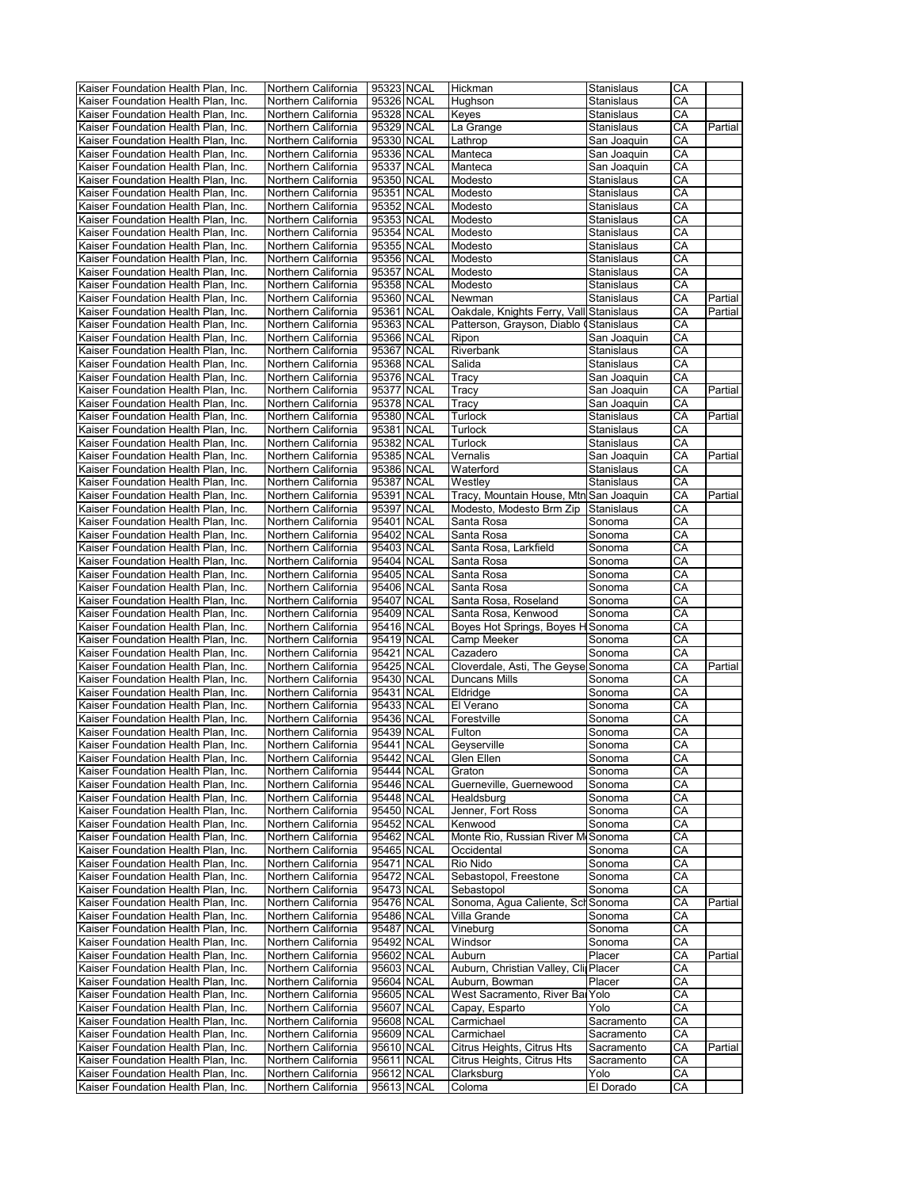| Kaiser Foundation Health Plan, Inc.                                        | Northern California                        | 95323 NCAL               | Hickman                                 | Stanislaus        | CA       |         |
|----------------------------------------------------------------------------|--------------------------------------------|--------------------------|-----------------------------------------|-------------------|----------|---------|
| Kaiser Foundation Health Plan, Inc.                                        | Northern California                        | 95326 NCAL               | Hughson                                 | Stanislaus        | СA       |         |
| Kaiser Foundation Health Plan, Inc.                                        | Northern California                        | 95328 NCAL               | Keyes                                   | Stanislaus        | CA       |         |
|                                                                            |                                            |                          |                                         |                   |          |         |
| Kaiser Foundation Health Plan, Inc.                                        | Northern California                        | 95329 NCAL               | La Grange                               | Stanislaus        | CA       | Partial |
| Kaiser Foundation Health Plan, Inc.                                        | Northern California                        | 95330 NCAL               | Lathrop                                 | San Joaquin       | CA       |         |
| Kaiser Foundation Health Plan, Inc.                                        | Northern California                        | 95336 NCAL               | Manteca                                 | San Joaquin       | СA       |         |
| Kaiser Foundation Health Plan, Inc.                                        | Northern California                        | 95337 NCAL               | Manteca                                 | San Joaquin       | СA       |         |
| Kaiser Foundation Health Plan, Inc.                                        | Northern California                        | 95350 NCAL               | Modesto                                 | Stanislaus        | СA       |         |
| Kaiser Foundation Health Plan, Inc.                                        | Northern California                        | 95351 NCAL               | Modesto                                 | Stanislaus        | CA       |         |
| Kaiser Foundation Health Plan, Inc.                                        | Northern California                        | 95352 NCAL               | Modesto                                 | Stanislaus        | СA       |         |
|                                                                            |                                            |                          |                                         |                   |          |         |
| Kaiser Foundation Health Plan, Inc.                                        | Northern California                        | 95353 NCAL               | Modesto                                 | Stanislaus        | CA       |         |
| Kaiser Foundation Health Plan, Inc.                                        | Northern California                        | 95354 NCAL               | Modesto                                 | Stanislaus        | CА       |         |
| Kaiser Foundation Health Plan, Inc.                                        | Northern California                        | 95355 NCAL               | Modesto                                 | Stanislaus        | СA       |         |
| Kaiser Foundation Health Plan, Inc.                                        | Northern California                        | 95356 NCAL               | Modesto                                 | Stanislaus        | СA       |         |
| Kaiser Foundation Health Plan, Inc.                                        | Northern California                        | 95357 NCAL               | Modesto                                 | Stanislaus        | СA       |         |
| Kaiser Foundation Health Plan, Inc.                                        | Northern California                        | 95358 NCAL               | Modesto                                 | Stanislaus        | CA       |         |
| Kaiser Foundation Health Plan, Inc.                                        | Northern California                        | 95360 NCAL               | Newman                                  | Stanislaus        | CA       | Partial |
|                                                                            |                                            |                          |                                         |                   |          |         |
| Kaiser Foundation Health Plan, Inc.                                        | Northern California                        | 95361 NCAL               | Oakdale, Knights Ferry, Vall Stanislaus |                   | СA       | Partial |
| Kaiser Foundation Health Plan, Inc.                                        | Northern California                        | 95363 NCAL               | Patterson, Grayson, Diablo (Stanislaus  |                   | CА       |         |
| Kaiser Foundation Health Plan, Inc.                                        | Northern California                        | 95366 NCAL               | Ripon                                   | San Joaquin       | СA       |         |
| Kaiser Foundation Health Plan, Inc.                                        | Northern California                        | 95367 NCAL               | Riverbank                               | Stanislaus        | CА       |         |
| Kaiser Foundation Health Plan, Inc.                                        | Northern California                        | 95368 NCAL               | Salida                                  | Stanislaus        | CA       |         |
| Kaiser Foundation Health Plan, Inc.                                        | Northern California                        | 95376 NCAL               | Tracy                                   | San Joaquin       | CA       |         |
| Kaiser Foundation Health Plan, Inc.                                        | Northern California                        | 95377 NCAL               | Tracy                                   | San Joaquin       | CA       | Partial |
|                                                                            |                                            |                          |                                         |                   |          |         |
| Kaiser Foundation Health Plan, Inc.                                        | Northern California                        | 95378 NCAL               | Tracy                                   | San Joaquin       | СA       |         |
| Kaiser Foundation Health Plan, Inc.                                        | Northern California                        | 95380 NCAL               | Turlock                                 | Stanislaus        | CA       | Partial |
| Kaiser Foundation Health Plan, Inc.                                        | Northern California                        | 95381 NCAL               | Turlock                                 | Stanislaus        | СA       |         |
| Kaiser Foundation Health Plan, Inc.                                        | Northern California                        | 95382 NCAL               | Turlock                                 | Stanislaus        | CA       |         |
| Kaiser Foundation Health Plan. Inc.                                        | Northern California                        | 95385 NCAL               | Vernalis                                | San Joaquin       | CA       | Partial |
| Kaiser Foundation Health Plan, Inc.                                        | Northern California                        | 95386 NCAL               | Waterford                               | Stanislaus        | CA       |         |
| Kaiser Foundation Health Plan, Inc.                                        | Northern California                        | 95387 NCAL               | Westley                                 | Stanislaus        | CA       |         |
|                                                                            |                                            |                          |                                         |                   |          |         |
| Kaiser Foundation Health Plan. Inc.                                        | Northern California                        | 95391 NCAL               | Tracy, Mountain House, Mtn San Joaquin  |                   | СA       | Partial |
| Kaiser Foundation Health Plan, Inc.                                        | Northern California                        | 95397 NCAL               | Modesto, Modesto Brm Zip                | Stanislaus        | СA       |         |
| Kaiser Foundation Health Plan, Inc.                                        | Northern California                        | 95401 NCAL               | Santa Rosa                              | Sonoma            | CА       |         |
| Kaiser Foundation Health Plan, Inc.                                        | Northern California                        | 95402 NCAL               | Santa Rosa                              | Sonoma            | CA       |         |
| Kaiser Foundation Health Plan, Inc.                                        | Northern California                        | 95403 NCAL               | Santa Rosa, Larkfield                   | Sonoma            | СA       |         |
| Kaiser Foundation Health Plan, Inc.                                        | Northern California                        | 95404 NCAL               | Santa Rosa                              | Sonoma            | СA       |         |
|                                                                            |                                            |                          |                                         |                   |          |         |
| Kaiser Foundation Health Plan, Inc.                                        | Northern California                        | 95405 NCAL               | Santa Rosa                              | Sonoma            | CА       |         |
| Kaiser Foundation Health Plan, Inc.                                        | Northern California                        | 95406 NCAL               | Santa Rosa                              | Sonoma            | CA       |         |
| Kaiser Foundation Health Plan, Inc.                                        | Northern California                        | 95407 NCAL               | Santa Rosa, Roseland                    | Sonoma            | СA       |         |
| Kaiser Foundation Health Plan, Inc.                                        | Northern California                        | 95409 NCAL               | Santa Rosa, Kenwood                     | Sonoma            | CA       |         |
| Kaiser Foundation Health Plan, Inc.                                        | Northern California                        | 95416 NCAL               | Boyes Hot Springs, Boyes H Sonoma       |                   | CA       |         |
| Kaiser Foundation Health Plan, Inc.                                        | Northern California                        | 95419 NCAL               | Camp Meeker                             | Sonoma            | CA       |         |
| Kaiser Foundation Health Plan, Inc.                                        | Northern California                        | 95421 NCAL               | Cazadero                                | Sonoma            | СA       |         |
| Kaiser Foundation Health Plan, Inc.                                        | Northern California                        | 95425 NCAL               | Cloverdale, Asti, The Geyse Sonoma      |                   | CА       | Partial |
|                                                                            |                                            |                          |                                         |                   |          |         |
| Kaiser Foundation Health Plan, Inc.                                        | Northern California                        | 95430 NCAL               | Duncans Mills                           | Sonoma            | СA       |         |
| Kaiser Foundation Health Plan, Inc.                                        | Northern California                        | 95431 NCAL               | Eldridge                                | Sonoma            | CА       |         |
| Kaiser Foundation Health Plan, Inc.                                        | Northern California                        | 95433 NCAL               | El Verano                               | Sonoma            | CA       |         |
| Kaiser Foundation Health Plan, Inc.                                        | Northern California                        | 95436 NCAL               | Forestville                             | Sonoma            | CA       |         |
| Kaiser Foundation Health Plan, Inc.                                        | Northern California                        | 95439 NCAL               | Fulton                                  | Sonoma            | CA       |         |
| Kaiser Foundation Health Plan, Inc.                                        | Northern California                        | 95441 NCAL               | Geyserville                             | Sonoma            | CA       |         |
| Kaiser Foundation Health Plan, Inc.                                        | Northern California                        | 95442 NCAL               | Glen Ellen                              | Sonoma            | CА       |         |
| Kaiser Foundation Health Plan, Inc.                                        | Northern California                        | 95444 NCAL               | Graton                                  | Sonoma            | CA       |         |
|                                                                            |                                            |                          |                                         |                   |          |         |
| Kaiser Foundation Health Plan, Inc.                                        | Northern California                        | 95446 NCAL               | Guerneville, Guernewood                 | Sonoma            | CA       |         |
| Kaiser Foundation Health Plan, Inc.                                        | Northern California                        | 95448 NCAL               | Healdsburg                              | Sonoma            | CA       |         |
| Kaiser Foundation Health Plan, Inc.                                        | Northern California                        | 95450 NCAL               | Jenner, Fort Ross                       | Sonoma            | СA       |         |
| Kaiser Foundation Health Plan, Inc.                                        | Northern California                        | 95452 NCAL               | Kenwood                                 | Sonoma            | СA       |         |
| Kaiser Foundation Health Plan, Inc.                                        |                                            |                          |                                         |                   | CА       |         |
| Kaiser Foundation Health Plan, Inc.                                        | Northern California                        | 95462 NCAL               | Monte Rio, Russian River M Sonoma       |                   |          |         |
|                                                                            |                                            |                          |                                         |                   | CА       |         |
|                                                                            | Northern California                        | 95465 NCAL               | Occidental                              | Sonoma            |          |         |
| Kaiser Foundation Health Plan, Inc.                                        | Northern California                        | 95471 NCAL               | Rio Nido                                | Sonoma            | CА       |         |
| Kaiser Foundation Health Plan, Inc.                                        | Northern California                        | 95472 NCAL               | Sebastopol, Freestone                   | Sonoma            | CA       |         |
| Kaiser Foundation Health Plan, Inc.                                        | Northern California                        | 95473 NCAL               | Sebastopol                              | Sonoma            | СA       |         |
| Kaiser Foundation Health Plan, Inc.                                        | Northern California                        | 95476 NCAL               | Sonoma, Agua Caliente, Scl Sonoma       |                   | CА       | Partial |
| Kaiser Foundation Health Plan, Inc.                                        | Northern California                        | 95486 NCAL               | Villa Grande                            | Sonoma            | СA       |         |
| Kaiser Foundation Health Plan, Inc.                                        | Northern California                        | 95487 NCAL               | Vineburg                                | Sonoma            | СA       |         |
| Kaiser Foundation Health Plan, Inc.                                        | Northern California                        | 95492 NCAL               | Windsor                                 | Sonoma            | CA       |         |
|                                                                            |                                            |                          |                                         |                   |          |         |
| Kaiser Foundation Health Plan, Inc.                                        | Northern California                        | 95602 NCAL               | Auburn                                  | Placer            | CA       | Partial |
| Kaiser Foundation Health Plan, Inc.                                        | Northern California                        | 95603 NCAL               | Auburn, Christian Valley, Cli Placer    |                   | CА       |         |
| Kaiser Foundation Health Plan, Inc.                                        | Northern California                        | 95604 NCAL               | Auburn, Bowman                          | Placer            | CА       |         |
| Kaiser Foundation Health Plan, Inc.                                        | Northern California                        | 95605 NCAL               | West Sacramento, River Ba Yolo          |                   | СA       |         |
| Kaiser Foundation Health Plan, Inc.                                        | Northern California                        | 95607 NCAL               | Capay, Esparto                          | Yolo              | CА       |         |
| Kaiser Foundation Health Plan, Inc.                                        | Northern California                        | 95608 NCAL               | Carmichael                              | Sacramento        | СA       |         |
| Kaiser Foundation Health Plan, Inc.                                        | Northern California                        | 95609 NCAL               | Carmichael                              | Sacramento        | СA       |         |
|                                                                            |                                            |                          |                                         |                   |          |         |
| Kaiser Foundation Health Plan, Inc.                                        | Northern California                        | 95610 NCAL               | Citrus Heights, Citrus Hts              | Sacramento        | СA       | Partial |
| Kaiser Foundation Health Plan, Inc.                                        | Northern California                        | 95611 NCAL               | Citrus Heights, Citrus Hts              | Sacramento        | CА       |         |
| Kaiser Foundation Health Plan, Inc.<br>Kaiser Foundation Health Plan, Inc. | Northern California<br>Northern California | 95612 NCAL<br>95613 NCAL | Clarksburg<br>Coloma                    | Yolo<br>El Dorado | СA<br>CА |         |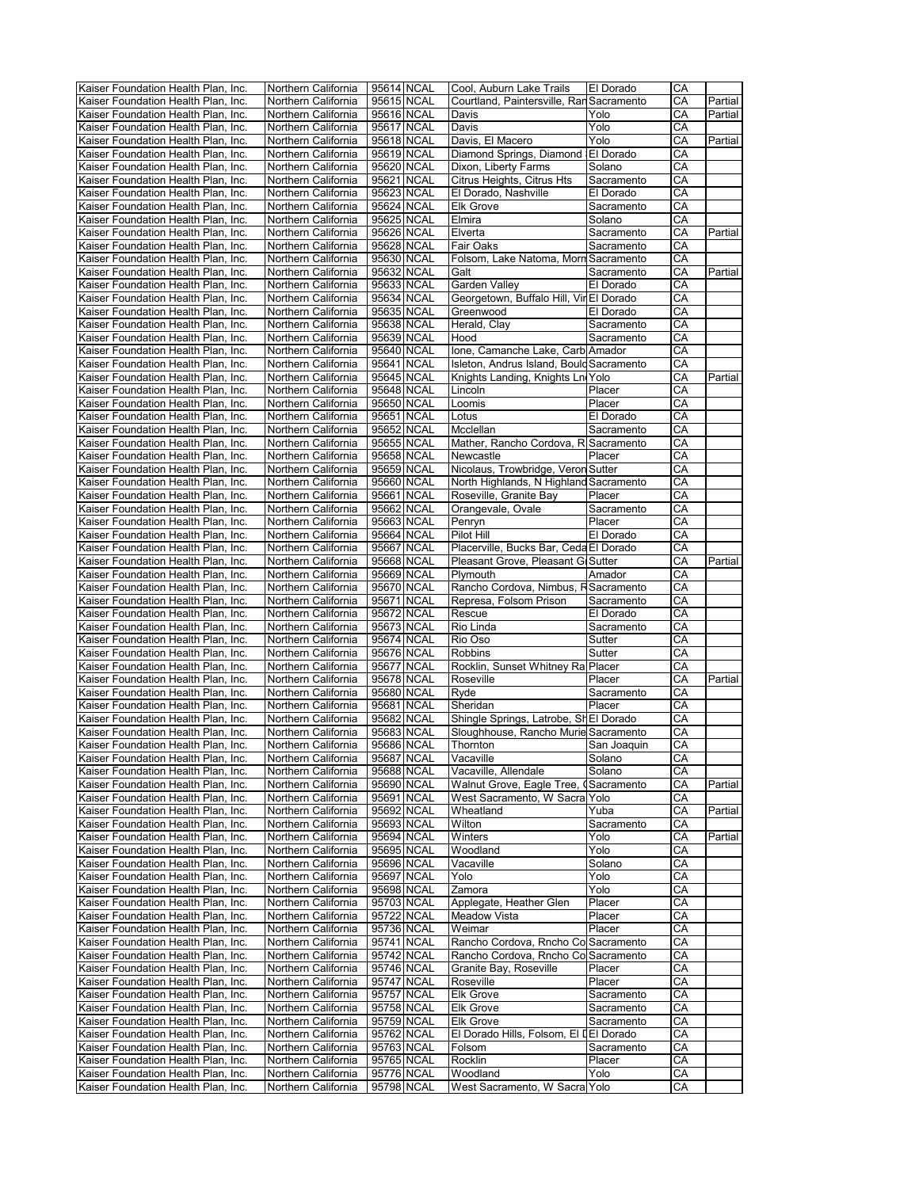|                                     |                     | 95614 NCAL |            | Cool, Auburn Lake Trails                 |             |    |         |
|-------------------------------------|---------------------|------------|------------|------------------------------------------|-------------|----|---------|
| Kaiser Foundation Health Plan, Inc. | Northern California |            |            |                                          | El Dorado   | CА |         |
| Kaiser Foundation Health Plan, Inc. | Northern California |            | 95615 NCAL | Courtland, Paintersville, Ran Sacramento |             | CА | Partial |
| Kaiser Foundation Health Plan, Inc. | Northern California |            | 95616 NCAL | Davis                                    | Yolo        | CА | Partial |
|                                     |                     |            |            |                                          |             |    |         |
| Kaiser Foundation Health Plan, Inc. | Northern California |            | 95617 NCAL | Davis                                    | Yolo        | СA |         |
| Kaiser Foundation Health Plan, Inc. | Northern California |            | 95618 NCAL | Davis, El Macero                         | Yolo        | CA | Partial |
|                                     |                     | 95619 NCAL |            |                                          | El Dorado   | CA |         |
| Kaiser Foundation Health Plan, Inc. | Northern California |            |            | Diamond Springs, Diamond                 |             |    |         |
| Kaiser Foundation Health Plan, Inc. | Northern California | 95620 NCAL |            | Dixon, Liberty Farms                     | Solano      | CA |         |
| Kaiser Foundation Health Plan, Inc. | Northern California |            | 95621 NCAL | Citrus Heights, Citrus Hts               | Sacramento  | СA |         |
|                                     |                     |            |            |                                          |             |    |         |
| Kaiser Foundation Health Plan, Inc. | Northern California |            | 95623 NCAL | El Dorado, Nashville                     | El Dorado   | CA |         |
| Kaiser Foundation Health Plan, Inc. | Northern California |            | 95624 NCAL | <b>Elk Grove</b>                         | Sacramento  | CA |         |
|                                     |                     |            |            |                                          |             |    |         |
| Kaiser Foundation Health Plan, Inc. | Northern California | 95625 NCAL |            | Elmira                                   | Solano      | CA |         |
| Kaiser Foundation Health Plan, Inc. | Northern California | 95626 NCAL |            | Elverta                                  | Sacramento  | CА | Partial |
| Kaiser Foundation Health Plan, Inc. | Northern California |            | 95628 NCAL | Fair Oaks                                | Sacramento  | CA |         |
|                                     |                     |            |            |                                          |             |    |         |
| Kaiser Foundation Health Plan, Inc. | Northern California | 95630 NCAL |            | Folsom, Lake Natoma, Morn Sacramento     |             | CА |         |
| Kaiser Foundation Health Plan, Inc. | Northern California |            | 95632 NCAL | Galt                                     | Sacramento  | CA | Partial |
|                                     |                     |            |            |                                          |             |    |         |
| Kaiser Foundation Health Plan, Inc. | Northern California |            | 95633 NCAL | Garden Valley                            | El Dorado   | СA |         |
| Kaiser Foundation Health Plan, Inc. | Northern California |            | 95634 NCAL | Georgetown, Buffalo Hill, Vir El Dorado  |             | CA |         |
|                                     |                     |            |            |                                          |             | CA |         |
| Kaiser Foundation Health Plan, Inc. | Northern California | 95635 NCAL |            | Greenwood                                | El Dorado   |    |         |
| Kaiser Foundation Health Plan, Inc. | Northern California | 95638 NCAL |            | Herald, Clay                             | Sacramento  | CA |         |
| Kaiser Foundation Health Plan, Inc. | Northern California |            | 95639 NCAL | Hood                                     | Sacramento  | СA |         |
|                                     |                     |            |            |                                          |             |    |         |
| Kaiser Foundation Health Plan, Inc. | Northern California |            | 95640 NCAL | Ione, Camanche Lake, Carb Amador         |             | CA |         |
| Kaiser Foundation Health Plan, Inc. | Northern California |            | 95641 NCAL | Isleton, Andrus Island, Bould Sacramento |             | CA |         |
|                                     |                     |            |            |                                          |             |    |         |
| Kaiser Foundation Health Plan, Inc. | Northern California |            | 95645 NCAL | Knights Landing, Knights Ln Yolo         |             | СA | Partial |
| Kaiser Foundation Health Plan, Inc. | Northern California | 95648 NCAL |            | Lincoln                                  | Placer      | CA |         |
|                                     |                     |            |            |                                          |             |    |         |
| Kaiser Foundation Health Plan, Inc. | Northern California | 95650 NCAL |            | Loomis                                   | Placer      | CА |         |
| Kaiser Foundation Health Plan, Inc. | Northern California |            | 95651 NCAL | Lotus                                    | El Dorado   | CA |         |
| Kaiser Foundation Health Plan, Inc. | Northern California | 95652 NCAL |            | Mcclellan                                |             | CА |         |
|                                     |                     |            |            |                                          | Sacramento  |    |         |
| Kaiser Foundation Health Plan, Inc. | Northern California |            | 95655 NCAL | Mather, Rancho Cordova, R Sacramento     |             | СA |         |
| Kaiser Foundation Health Plan, Inc. | Northern California |            | 95658 NCAL | Newcastle                                | Placer      | СA |         |
|                                     |                     |            |            |                                          |             |    |         |
| Kaiser Foundation Health Plan, Inc. | Northern California |            | 95659 NCAL | Nicolaus, Trowbridge, Veron Sutter       |             | CA |         |
| Kaiser Foundation Health Plan, Inc. | Northern California | 95660 NCAL |            | North Highlands, N Highland Sacramento   |             | CA |         |
|                                     |                     |            |            |                                          |             |    |         |
| Kaiser Foundation Health Plan, Inc. | Northern California |            | 95661 NCAL | Roseville, Granite Bay                   | Placer      | CA |         |
| Kaiser Foundation Health Plan, Inc. | Northern California |            | 95662 NCAL | Orangevale, Ovale                        | Sacramento  | СA |         |
| Kaiser Foundation Health Plan, Inc. | Northern California |            | 95663 NCAL | Penryn                                   | Placer      | CA |         |
|                                     |                     |            |            |                                          |             |    |         |
| Kaiser Foundation Health Plan, Inc. | Northern California |            | 95664 NCAL | Pilot Hill                               | El Dorado   | CA |         |
| Kaiser Foundation Health Plan, Inc. | Northern California |            | 95667 NCAL | Placerville, Bucks Bar, Ceda El Dorado   |             | СA |         |
|                                     |                     |            |            |                                          |             |    |         |
| Kaiser Foundation Health Plan, Inc. | Northern California |            | 95668 NCAL | Pleasant Grove, Pleasant G Sutter        |             | CA | Partial |
| Kaiser Foundation Health Plan, Inc. | Northern California | 95669 NCAL |            | Plymouth                                 | Amador      | СA |         |
|                                     |                     |            |            |                                          |             |    |         |
| Kaiser Foundation Health Plan, Inc. | Northern California |            | 95670 NCAL | Rancho Cordova, Nimbus, F Sacramento     |             | СA |         |
| Kaiser Foundation Health Plan, Inc. | Northern California |            | 95671 NCAL | Represa, Folsom Prison                   | Sacramento  | CА |         |
|                                     |                     |            | 95672 NCAL |                                          |             | СA |         |
| Kaiser Foundation Health Plan, Inc. | Northern California |            |            | Rescue                                   | El Dorado   |    |         |
| Kaiser Foundation Health Plan, Inc. | Northern California | 95673 NCAL |            | Rio Linda                                | Sacramento  | CA |         |
| Kaiser Foundation Health Plan, Inc. | Northern California | 95674 NCAL |            | Rio Oso                                  | Sutter      | CA |         |
|                                     |                     |            |            |                                          |             |    |         |
| Kaiser Foundation Health Plan, Inc. | Northern California | 95676 NCAL |            | Robbins                                  | Sutter      | CA |         |
| Kaiser Foundation Health Plan, Inc. | Northern California |            | 95677 NCAL | Rocklin, Sunset Whitney Ra Placer        |             | СA |         |
|                                     |                     |            |            |                                          |             |    |         |
| Kaiser Foundation Health Plan, Inc. | Northern California |            | 95678 NCAL | Roseville                                | Placer      | CA | Partial |
| Kaiser Foundation Health Plan, Inc. | Northern California |            | 95680 NCAL | Ryde                                     | Sacramento  | СA |         |
|                                     |                     |            |            |                                          | Placer      | СA |         |
| Kaiser Foundation Health Plan, Inc. | Northern California |            | 95681 NCAL | Sheridan                                 |             |    |         |
| Kaiser Foundation Health Plan, Inc. | Northern California |            | 95682 NCAL | Shingle Springs, Latrobe, Sh El Dorado   |             | СA |         |
| Kaiser Foundation Health Plan, Inc. | Northern California |            | 95683 NCAL | Sloughhouse, Rancho Murie Sacramento     |             | CA |         |
|                                     |                     |            |            |                                          |             |    |         |
| Kaiser Foundation Health Plan, Inc. | Northern California |            | 95686 NCAL | Thornton                                 | San Joaquin | СA |         |
| Kaiser Foundation Health Plan, Inc. | Northern California |            | 95687 NCAL | Vacaville                                | Solano      | CА |         |
|                                     |                     |            |            |                                          |             |    |         |
| Kaiser Foundation Health Plan, Inc. | Northern California |            | 95688 NCAL | Vacaville, Allendale                     | Solano      | СA |         |
| Kaiser Foundation Health Plan, Inc. | Northern California |            | 95690 NCAL | Walnut Grove, Eagle Tree, 0              | Sacramento  | СA | Partial |
| Kaiser Foundation Health Plan, Inc. | Northern California |            | 95691 NCAL | West Sacramento, W Sacral Yolo           |             | CA |         |
|                                     |                     |            |            |                                          |             |    |         |
| Kaiser Foundation Health Plan, Inc. | Northern California | 95692 NCAL |            | Wheatland                                | Yuba        | СA | Partial |
| Kaiser Foundation Health Plan, Inc. | Northern California | 95693 NCAL |            | Wilton                                   | Sacramento  | СA |         |
| Kaiser Foundation Health Plan, Inc. | Northern California |            |            | Winters                                  | Yolo        | СA | Partial |
|                                     |                     |            | 95694 NCAL |                                          |             |    |         |
| Kaiser Foundation Health Plan, Inc. | Northern California |            | 95695 NCAL | Woodland                                 | Yolo        | CA |         |
| Kaiser Foundation Health Plan, Inc. | Northern California |            | 95696 NCAL | Vacaville                                | Solano      | CА |         |
|                                     |                     |            |            |                                          |             |    |         |
| Kaiser Foundation Health Plan, Inc. | Northern California |            | 95697 NCAL | Yolo                                     | Yolo        | CА |         |
| Kaiser Foundation Health Plan, Inc. | Northern California | 95698 NCAL |            | Zamora                                   | Yolo        | CА |         |
|                                     |                     |            |            |                                          |             |    |         |
| Kaiser Foundation Health Plan, Inc. | Northern California |            | 95703 NCAL | Applegate, Heather Glen                  | Placer      | СA |         |
| Kaiser Foundation Health Plan, Inc. | Northern California | 95722 NCAL |            | Meadow Vista                             | Placer      | СA |         |
| Kaiser Foundation Health Plan, Inc. | Northern California | 95736 NCAL |            | Weimar                                   | Placer      | CA |         |
|                                     |                     |            |            |                                          |             |    |         |
| Kaiser Foundation Health Plan, Inc. | Northern California |            | 95741 NCAL | Rancho Cordova, Rncho Co Sacramento      |             | CА |         |
| Kaiser Foundation Health Plan, Inc. | Northern California |            | 95742 NCAL | Rancho Cordova, Rncho Co Sacramento      |             | CА |         |
|                                     |                     |            |            |                                          |             |    |         |
| Kaiser Foundation Health Plan, Inc. | Northern California | 95746 NCAL |            | Granite Bay, Roseville                   | Placer      | СA |         |
| Kaiser Foundation Health Plan, Inc. | Northern California | 95747 NCAL |            | Roseville                                | Placer      | СA |         |
|                                     |                     |            |            |                                          |             |    |         |
| Kaiser Foundation Health Plan, Inc. | Northern California | 95757 NCAL |            | <b>Elk Grove</b>                         | Sacramento  | СA |         |
| Kaiser Foundation Health Plan, Inc. | Northern California |            | 95758 NCAL | <b>Elk Grove</b>                         | Sacramento  | CА |         |
| Kaiser Foundation Health Plan, Inc. | Northern California |            | 95759 NCAL | Elk Grove                                | Sacramento  | CA |         |
|                                     |                     |            |            |                                          |             |    |         |
| Kaiser Foundation Health Plan, Inc. | Northern California |            | 95762 NCAL | El Dorado Hills, Folsom, El II El Dorado |             | CА |         |
| Kaiser Foundation Health Plan, Inc. | Northern California | 95763 NCAL |            | Folsom                                   | Sacramento  | CА |         |
|                                     |                     |            |            |                                          |             |    |         |
| Kaiser Foundation Health Plan, Inc. | Northern California | 95765 NCAL |            | Rocklin                                  | Placer      | СA |         |
| Kaiser Foundation Health Plan, Inc. | Northern California |            | 95776 NCAL | Woodland                                 | Yolo        | СA |         |
|                                     |                     |            |            |                                          |             |    |         |
| Kaiser Foundation Health Plan, Inc. | Northern California | 95798 NCAL |            | West Sacramento, W Sacra Yolo            |             | CА |         |